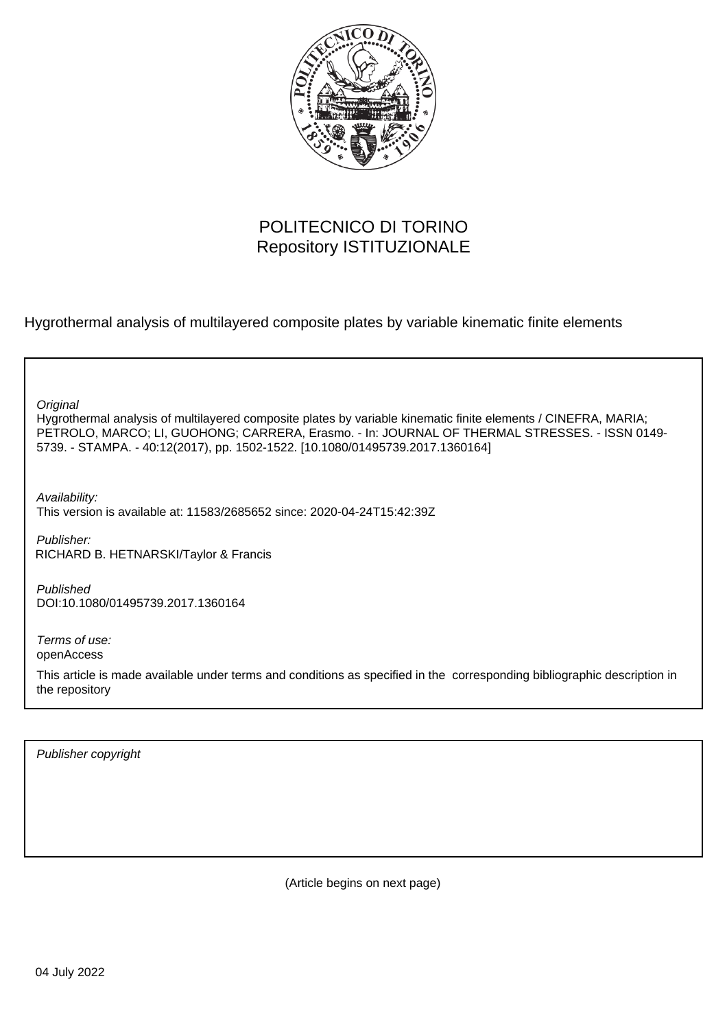

## POLITECNICO DI TORINO Repository ISTITUZIONALE

Hygrothermal analysis of multilayered composite plates by variable kinematic finite elements

**Original** 

Hygrothermal analysis of multilayered composite plates by variable kinematic finite elements / CINEFRA, MARIA; PETROLO, MARCO; LI, GUOHONG; CARRERA, Erasmo. - In: JOURNAL OF THERMAL STRESSES. - ISSN 0149- 5739. - STAMPA. - 40:12(2017), pp. 1502-1522. [10.1080/01495739.2017.1360164]

Availability: This version is available at: 11583/2685652 since: 2020-04-24T15:42:39Z

Publisher: RICHARD B. HETNARSKI/Taylor & Francis

Published DOI:10.1080/01495739.2017.1360164

Terms of use: openAccess

This article is made available under terms and conditions as specified in the corresponding bibliographic description in the repository

Publisher copyright

(Article begins on next page)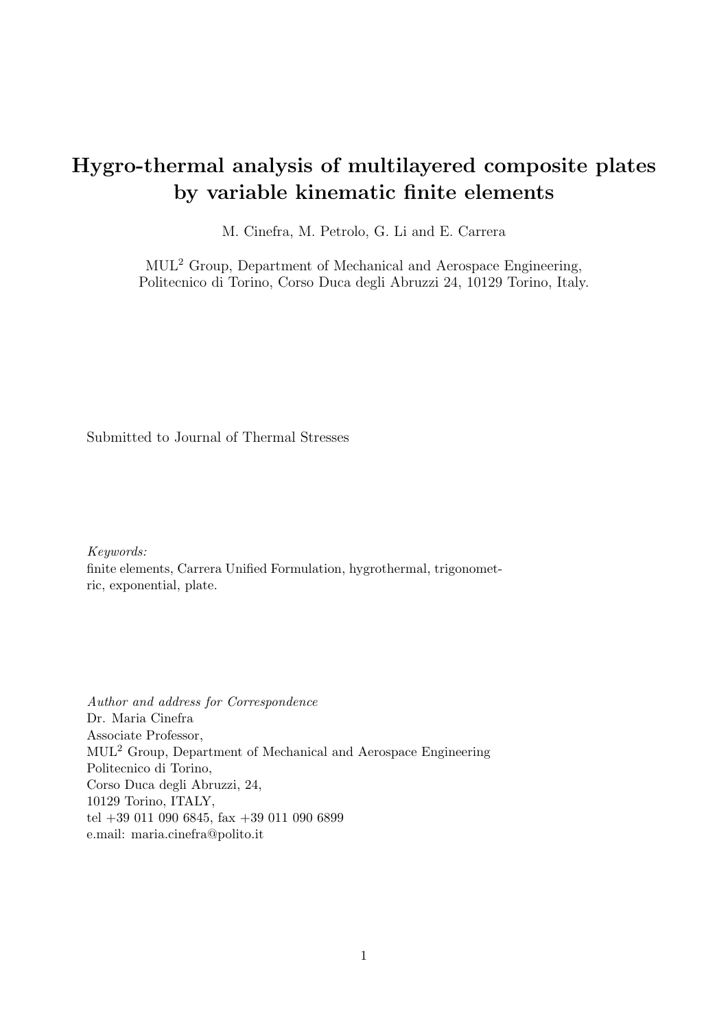# Hygro-thermal analysis of multilayered composite plates by variable kinematic finite elements

M. Cinefra, M. Petrolo, G. Li and E. Carrera

MUL<sup>2</sup> Group, Department of Mechanical and Aerospace Engineering, Politecnico di Torino, Corso Duca degli Abruzzi 24, 10129 Torino, Italy.

Submitted to Journal of Thermal Stresses

Keywords: finite elements, Carrera Unified Formulation, hygrothermal, trigonometric, exponential, plate.

Author and address for Correspondence Dr. Maria Cinefra Associate Professor, MUL<sup>2</sup> Group, Department of Mechanical and Aerospace Engineering Politecnico di Torino, Corso Duca degli Abruzzi, 24, 10129 Torino, ITALY, tel +39 011 090 6845, fax +39 011 090 6899 e.mail: maria.cinefra@polito.it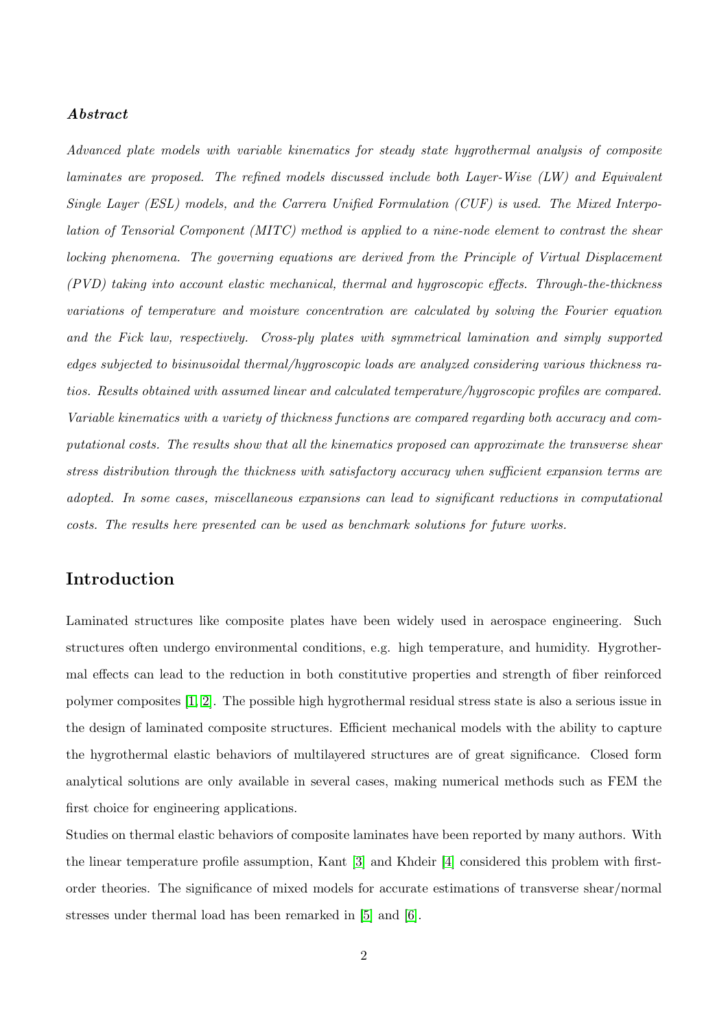#### Abstract

Advanced plate models with variable kinematics for steady state hygrothermal analysis of composite laminates are proposed. The refined models discussed include both Layer-Wise (LW) and Equivalent Single Layer (ESL) models, and the Carrera Unified Formulation (CUF) is used. The Mixed Interpolation of Tensorial Component (MITC) method is applied to a nine-node element to contrast the shear locking phenomena. The governing equations are derived from the Principle of Virtual Displacement (PVD) taking into account elastic mechanical, thermal and hygroscopic effects. Through-the-thickness variations of temperature and moisture concentration are calculated by solving the Fourier equation and the Fick law, respectively. Cross-ply plates with symmetrical lamination and simply supported edges subjected to bisinusoidal thermal/hygroscopic loads are analyzed considering various thickness ratios. Results obtained with assumed linear and calculated temperature/hygroscopic profiles are compared. Variable kinematics with a variety of thickness functions are compared regarding both accuracy and computational costs. The results show that all the kinematics proposed can approximate the transverse shear stress distribution through the thickness with satisfactory accuracy when sufficient expansion terms are adopted. In some cases, miscellaneous expansions can lead to significant reductions in computational costs. The results here presented can be used as benchmark solutions for future works.

## Introduction

Laminated structures like composite plates have been widely used in aerospace engineering. Such structures often undergo environmental conditions, e.g. high temperature, and humidity. Hygrothermal effects can lead to the reduction in both constitutive properties and strength of fiber reinforced polymer composites [1, 2]. The possible high hygrothermal residual stress state is also a serious issue in the design of laminated composite structures. Efficient mechanical models with the ability to capture the hygrothermal elastic behaviors of multilayered structures are of great significance. Closed form analytical solutions are only available in several cases, making numerical methods such as FEM the first choice for engineering applications.

Studies on thermal elastic behaviors of composite laminates have been reported by many authors. With the linear temperature profile assumption, Kant [3] and Khdeir [4] considered this problem with firstorder theories. The significance of mixed models for accurate estimations of transverse shear/normal stresses under thermal load has been remarked in [5] and [6].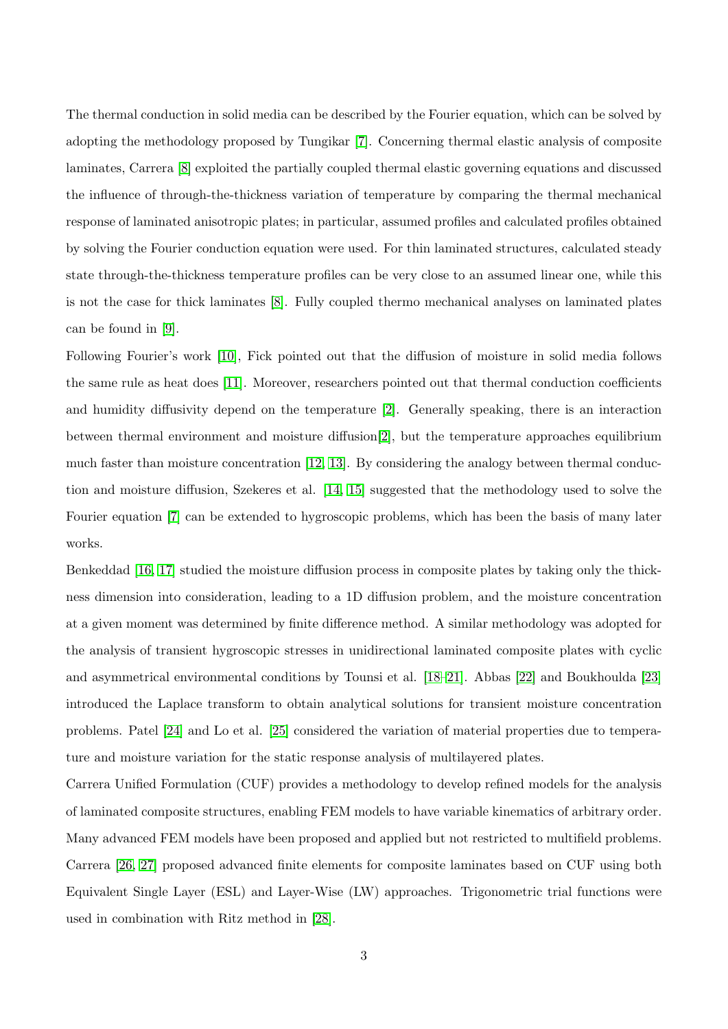The thermal conduction in solid media can be described by the Fourier equation, which can be solved by adopting the methodology proposed by Tungikar [7]. Concerning thermal elastic analysis of composite laminates, Carrera [8] exploited the partially coupled thermal elastic governing equations and discussed the influence of through-the-thickness variation of temperature by comparing the thermal mechanical response of laminated anisotropic plates; in particular, assumed profiles and calculated profiles obtained by solving the Fourier conduction equation were used. For thin laminated structures, calculated steady state through-the-thickness temperature profiles can be very close to an assumed linear one, while this is not the case for thick laminates [8]. Fully coupled thermo mechanical analyses on laminated plates can be found in [9].

Following Fourier's work [10], Fick pointed out that the diffusion of moisture in solid media follows the same rule as heat does [11]. Moreover, researchers pointed out that thermal conduction coefficients and humidity diffusivity depend on the temperature [2]. Generally speaking, there is an interaction between thermal environment and moisture diffusion[2], but the temperature approaches equilibrium much faster than moisture concentration [12, 13]. By considering the analogy between thermal conduction and moisture diffusion, Szekeres et al. [14, 15] suggested that the methodology used to solve the Fourier equation [7] can be extended to hygroscopic problems, which has been the basis of many later works.

Benkeddad [16, 17] studied the moisture diffusion process in composite plates by taking only the thickness dimension into consideration, leading to a 1D diffusion problem, and the moisture concentration at a given moment was determined by finite difference method. A similar methodology was adopted for the analysis of transient hygroscopic stresses in unidirectional laminated composite plates with cyclic and asymmetrical environmental conditions by Tounsi et al. [18–21]. Abbas [22] and Boukhoulda [23] introduced the Laplace transform to obtain analytical solutions for transient moisture concentration problems. Patel [24] and Lo et al. [25] considered the variation of material properties due to temperature and moisture variation for the static response analysis of multilayered plates.

Carrera Unified Formulation (CUF) provides a methodology to develop refined models for the analysis of laminated composite structures, enabling FEM models to have variable kinematics of arbitrary order. Many advanced FEM models have been proposed and applied but not restricted to multifield problems. Carrera [26, 27] proposed advanced finite elements for composite laminates based on CUF using both Equivalent Single Layer (ESL) and Layer-Wise (LW) approaches. Trigonometric trial functions were used in combination with Ritz method in [28].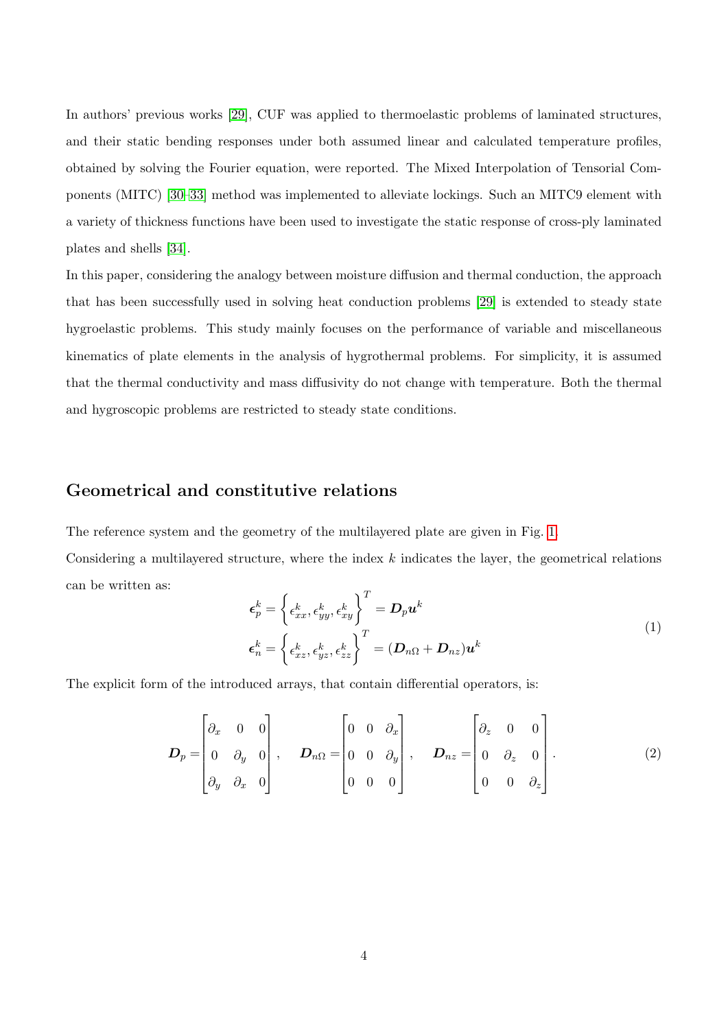In authors' previous works [29], CUF was applied to thermoelastic problems of laminated structures, and their static bending responses under both assumed linear and calculated temperature profiles, obtained by solving the Fourier equation, were reported. The Mixed Interpolation of Tensorial Components (MITC) [30–33] method was implemented to alleviate lockings. Such an MITC9 element with a variety of thickness functions have been used to investigate the static response of cross-ply laminated plates and shells [34].

In this paper, considering the analogy between moisture diffusion and thermal conduction, the approach that has been successfully used in solving heat conduction problems [29] is extended to steady state hygroelastic problems. This study mainly focuses on the performance of variable and miscellaneous kinematics of plate elements in the analysis of hygrothermal problems. For simplicity, it is assumed that the thermal conductivity and mass diffusivity do not change with temperature. Both the thermal and hygroscopic problems are restricted to steady state conditions.

## Geometrical and constitutive relations

The reference system and the geometry of the multilayered plate are given in Fig. 1.

Considering a multilayered structure, where the index  $k$  indicates the layer, the geometrical relations can be written as:

$$
\epsilon_p^k = \left\{ \epsilon_{xx}^k, \epsilon_{yy}^k, \epsilon_{xy}^k \right\}^T = D_p \mathbf{u}^k
$$
\n
$$
\epsilon_n^k = \left\{ \epsilon_{xz}^k, \epsilon_{yz}^k, \epsilon_{zz}^k \right\}^T = (D_{n\Omega} + D_{nz}) \mathbf{u}^k
$$
\n(1)

The explicit form of the introduced arrays, that contain differential operators, is:

$$
\boldsymbol{D}_{p} = \begin{bmatrix} \partial_{x} & 0 & 0 \\ 0 & \partial_{y} & 0 \\ \partial_{y} & \partial_{x} & 0 \end{bmatrix}, \quad \boldsymbol{D}_{n\Omega} = \begin{bmatrix} 0 & 0 & \partial_{x} \\ 0 & 0 & \partial_{y} \\ 0 & 0 & 0 \end{bmatrix}, \quad \boldsymbol{D}_{nz} = \begin{bmatrix} \partial_{z} & 0 & 0 \\ 0 & \partial_{z} & 0 \\ 0 & 0 & \partial_{z} \end{bmatrix} . \tag{2}
$$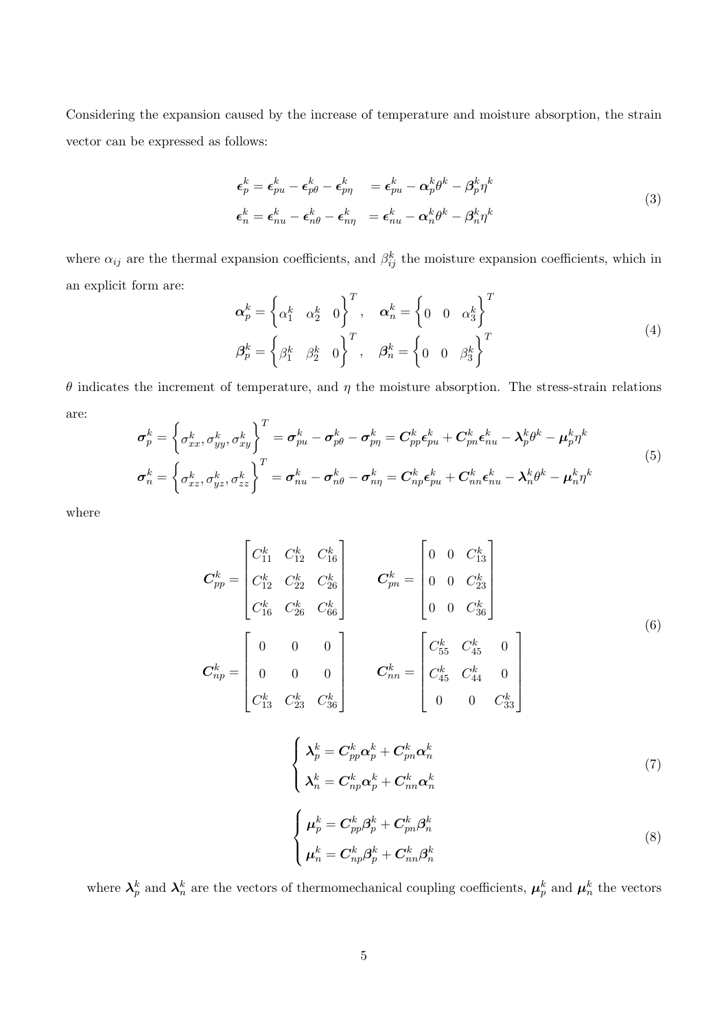Considering the expansion caused by the increase of temperature and moisture absorption, the strain vector can be expressed as follows:

$$
\epsilon_p^k = \epsilon_{pu}^k - \epsilon_{p\theta}^k - \epsilon_{p\eta}^k \qquad = \epsilon_{pu}^k - \alpha_p^k \theta^k - \beta_p^k \eta^k
$$
\n
$$
\epsilon_n^k = \epsilon_{nu}^k - \epsilon_{n\theta}^k - \epsilon_{n\eta}^k \qquad = \epsilon_{nu}^k - \alpha_n^k \theta^k - \beta_n^k \eta^k
$$
\n
$$
(3)
$$

where  $\alpha_{ij}$  are the thermal expansion coefficients, and  $\beta_{ij}^k$  the moisture expansion coefficients, which in an explicit form are:

$$
\boldsymbol{\alpha}_p^k = \begin{cases} \alpha_1^k & \alpha_2^k & 0 \end{cases}^T, \quad \boldsymbol{\alpha}_n^k = \begin{cases} 0 & 0 & \alpha_3^k \end{cases}^T
$$
  

$$
\boldsymbol{\beta}_p^k = \begin{cases} \beta_1^k & \beta_2^k & 0 \end{cases}^T, \quad \boldsymbol{\beta}_n^k = \begin{cases} 0 & 0 & \beta_3^k \end{cases}^T
$$
 (4)

θ indicates the increment of temperature, and η the moisture absorption. The stress-strain relations are:

$$
\sigma_p^k = \left\{ \sigma_{xx}^k, \sigma_{yy}^k, \sigma_{xy}^k \right\}^T = \sigma_{pu}^k - \sigma_{p\theta}^k - \sigma_{pp}^k = C_{pp}^k \epsilon_{pu}^k + C_{pn}^k \epsilon_{nu}^k - \lambda_p^k \theta^k - \mu_p^k \eta^k
$$
\n
$$
\sigma_n^k = \left\{ \sigma_{xz}^k, \sigma_{yz}^k, \sigma_{zz}^k \right\}^T = \sigma_{nu}^k - \sigma_{np}^k - \sigma_{np}^k = C_{np}^k \epsilon_{pu}^k + C_{nn}^k \epsilon_{nu}^k - \lambda_n^k \theta^k - \mu_n^k \eta^k
$$
\n(5)

where

$$
C_{pp}^{k} = \begin{bmatrix} C_{11}^{k} & C_{12}^{k} & C_{16}^{k} \\ C_{12}^{k} & C_{22}^{k} & C_{26}^{k} \\ C_{16}^{k} & C_{26}^{k} & C_{66}^{k} \end{bmatrix} \qquad C_{pn}^{k} = \begin{bmatrix} 0 & 0 & C_{13}^{k} \\ 0 & 0 & C_{23}^{k} \\ 0 & 0 & C_{36}^{k} \end{bmatrix}
$$

$$
C_{np}^{k} = \begin{bmatrix} 0 & 0 & 0 \\ 0 & 0 & 0 \\ 0 & 0 & 0 \\ C_{13}^{k} & C_{23}^{k} & C_{36}^{k} \end{bmatrix} \qquad C_{nn}^{k} = \begin{bmatrix} C_{5}^{k} & C_{45}^{k} & 0 \\ C_{45}^{k} & C_{44}^{k} & 0 \\ 0 & 0 & C_{33}^{k} \end{bmatrix}
$$

$$
\begin{Bmatrix} \lambda_{p}^{k} = C_{pp}^{k} \alpha_{p}^{k} + C_{pn}^{k} \alpha_{n}^{k} \\ \lambda_{n}^{k} = C_{np}^{k} \alpha_{p}^{k} + C_{nn}^{k} \alpha_{n}^{k} \end{Bmatrix} \qquad (7)
$$

$$
\begin{cases}\n\boldsymbol{\mu}_p^k = \boldsymbol{C}_{pp}^k \boldsymbol{\beta}_p^k + \boldsymbol{C}_{pn}^k \boldsymbol{\beta}_n^k \\
\boldsymbol{\mu}_n^k = \boldsymbol{C}_{np}^k \boldsymbol{\beta}_p^k + \boldsymbol{C}_{nn}^k \boldsymbol{\beta}_n^k\n\end{cases}
$$
\n(8)

where  $\lambda_p^k$  and  $\lambda_n^k$  are the vectors of thermomechanical coupling coefficients,  $\mu_p^k$  and  $\mu_n^k$  the vectors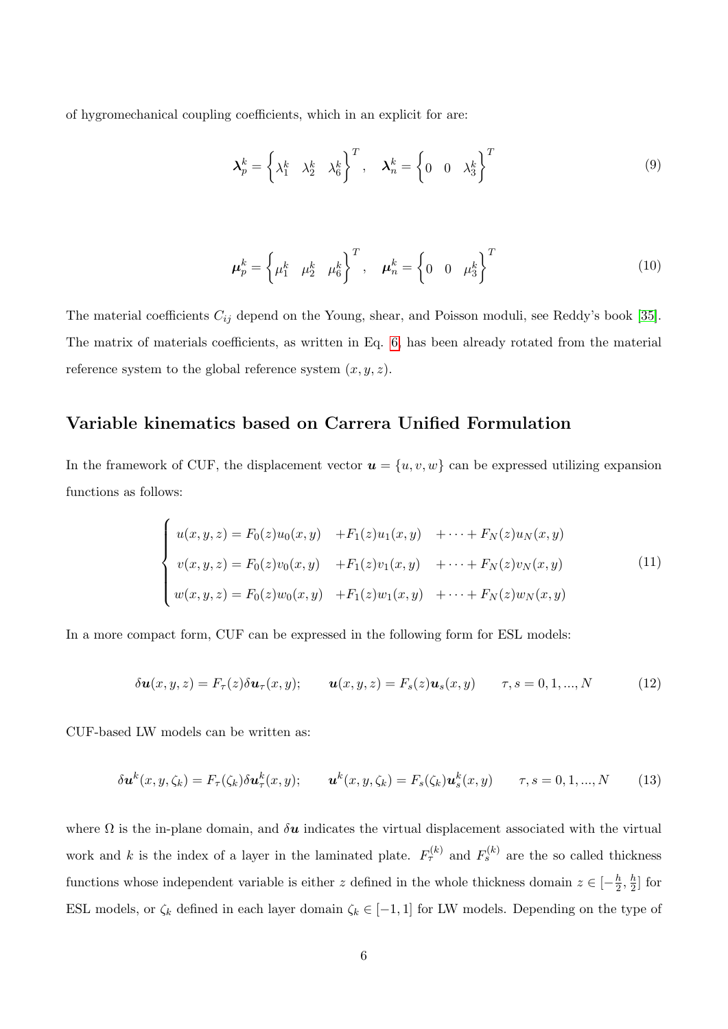of hygromechanical coupling coefficients, which in an explicit for are:

$$
\lambda_p^k = \left\{ \lambda_1^k \quad \lambda_2^k \quad \lambda_6^k \right\}^T, \quad \lambda_n^k = \left\{ 0 \quad 0 \quad \lambda_3^k \right\}^T \tag{9}
$$

$$
\mu_p^k = \left\{ \mu_1^k \quad \mu_2^k \quad \mu_6^k \right\}^T, \quad \mu_n^k = \left\{ 0 \quad 0 \quad \mu_3^k \right\}^T \tag{10}
$$

The material coefficients  $C_{ij}$  depend on the Young, shear, and Poisson moduli, see Reddy's book [35]. The matrix of materials coefficients, as written in Eq. 6, has been already rotated from the material reference system to the global reference system  $(x, y, z)$ .

## Variable kinematics based on Carrera Unified Formulation

In the framework of CUF, the displacement vector  $u = \{u, v, w\}$  can be expressed utilizing expansion functions as follows:

$$
\begin{cases}\nu(x,y,z) = F_0(z)u_0(x,y) + F_1(z)u_1(x,y) + \cdots + F_N(z)u_N(x,y) \\
v(x,y,z) = F_0(z)v_0(x,y) + F_1(z)v_1(x,y) + \cdots + F_N(z)v_N(x,y) \\
w(x,y,z) = F_0(z)w_0(x,y) + F_1(z)w_1(x,y) + \cdots + F_N(z)w_N(x,y)\n\end{cases}
$$
\n(11)

In a more compact form, CUF can be expressed in the following form for ESL models:

$$
\delta \mathbf{u}(x,y,z) = F_{\tau}(z)\delta \mathbf{u}_{\tau}(x,y); \qquad \mathbf{u}(x,y,z) = F_{s}(z)\mathbf{u}_{s}(x,y) \qquad \tau, s = 0,1,...,N \tag{12}
$$

CUF-based LW models can be written as:

$$
\delta \mathbf{u}^k(x, y, \zeta_k) = F_\tau(\zeta_k) \delta \mathbf{u}^k_\tau(x, y); \qquad \mathbf{u}^k(x, y, \zeta_k) = F_s(\zeta_k) \mathbf{u}^k_s(x, y) \qquad \tau, s = 0, 1, ..., N \tag{13}
$$

where  $\Omega$  is the in-plane domain, and  $\delta u$  indicates the virtual displacement associated with the virtual work and k is the index of a layer in the laminated plate.  $F_{\tau}^{(k)}$  and  $F_{s}^{(k)}$  are the so called thickness functions whose independent variable is either z defined in the whole thickness domain  $z \in \left[-\frac{h}{2}\right]$  $\frac{h}{2}, \frac{h}{2}$  $\frac{h}{2}$  for ESL models, or  $\zeta_k$  defined in each layer domain  $\zeta_k \in [-1,1]$  for LW models. Depending on the type of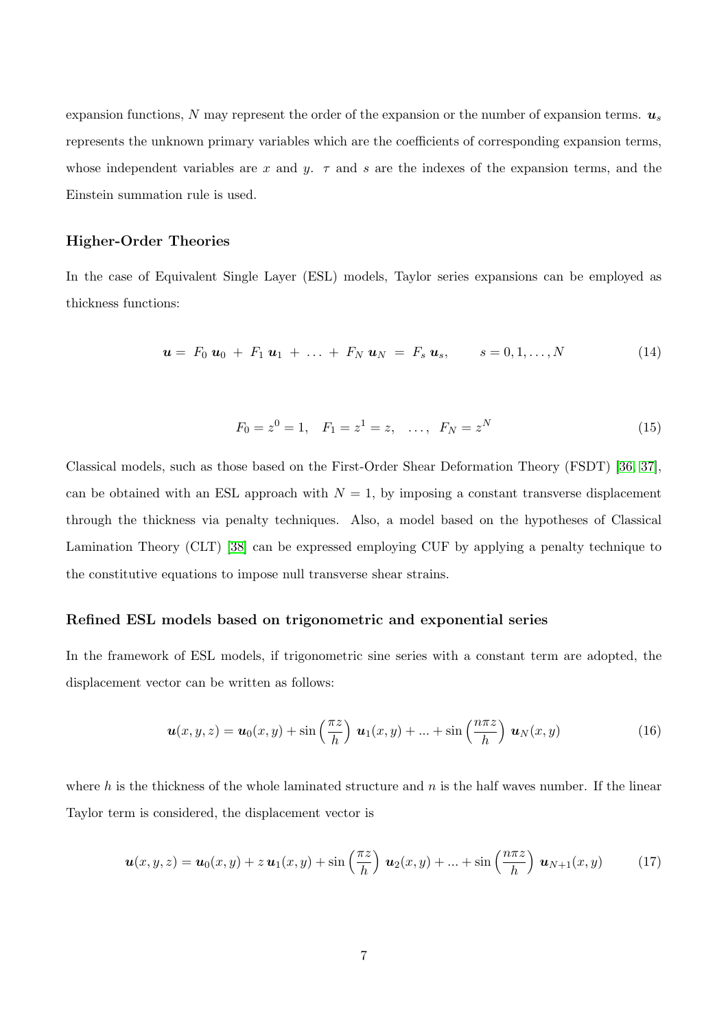expansion functions, N may represent the order of the expansion or the number of expansion terms.  $u_s$ represents the unknown primary variables which are the coefficients of corresponding expansion terms, whose independent variables are x and y.  $\tau$  and s are the indexes of the expansion terms, and the Einstein summation rule is used.

#### Higher-Order Theories

In the case of Equivalent Single Layer (ESL) models, Taylor series expansions can be employed as thickness functions:

$$
\mathbf{u} = F_0 \, \mathbf{u}_0 + F_1 \, \mathbf{u}_1 + \ldots + F_N \, \mathbf{u}_N = F_s \, \mathbf{u}_s, \qquad s = 0, 1, \ldots, N \tag{14}
$$

$$
F_0 = z^0 = 1, \quad F_1 = z^1 = z, \quad \dots, \quad F_N = z^N \tag{15}
$$

Classical models, such as those based on the First-Order Shear Deformation Theory (FSDT) [36, 37], can be obtained with an ESL approach with  $N = 1$ , by imposing a constant transverse displacement through the thickness via penalty techniques. Also, a model based on the hypotheses of Classical Lamination Theory (CLT) [38] can be expressed employing CUF by applying a penalty technique to the constitutive equations to impose null transverse shear strains.

#### Refined ESL models based on trigonometric and exponential series

In the framework of ESL models, if trigonometric sine series with a constant term are adopted, the displacement vector can be written as follows:

$$
\boldsymbol{u}(x,y,z) = \boldsymbol{u}_0(x,y) + \sin\left(\frac{\pi z}{h}\right)\,\boldsymbol{u}_1(x,y) + \ldots + \sin\left(\frac{n\pi z}{h}\right)\,\boldsymbol{u}_N(x,y) \tag{16}
$$

where h is the thickness of the whole laminated structure and  $n$  is the half waves number. If the linear Taylor term is considered, the displacement vector is

$$
\mathbf{u}(x,y,z) = \mathbf{u}_0(x,y) + z \mathbf{u}_1(x,y) + \sin\left(\frac{\pi z}{h}\right) \mathbf{u}_2(x,y) + \dots + \sin\left(\frac{n\pi z}{h}\right) \mathbf{u}_{N+1}(x,y) \tag{17}
$$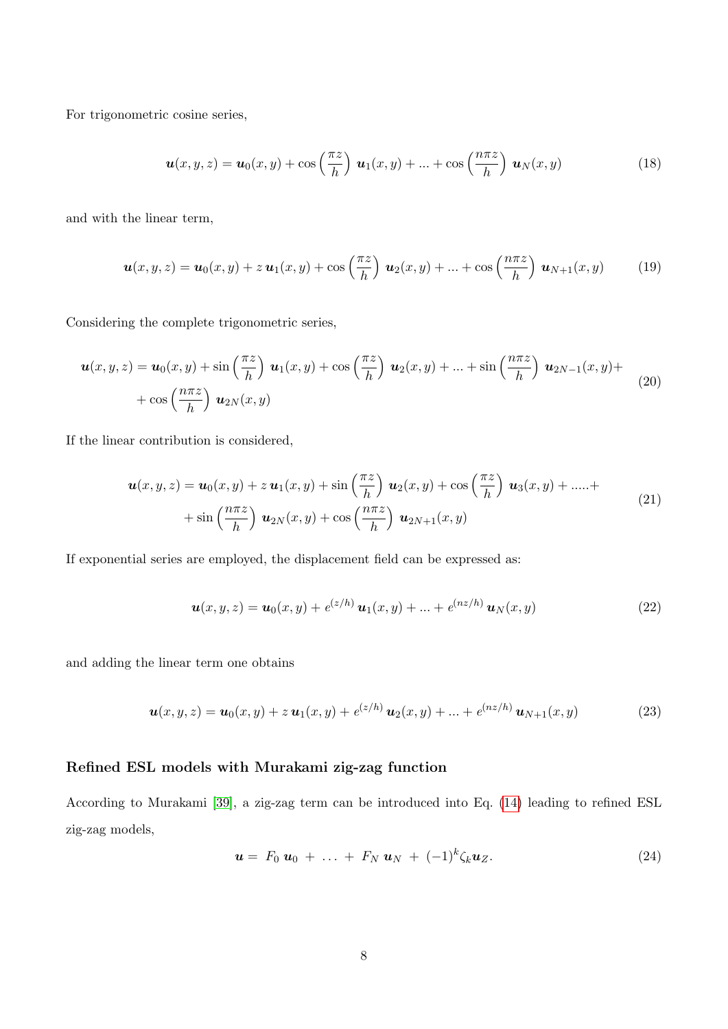For trigonometric cosine series,

$$
\mathbf{u}(x,y,z) = \mathbf{u}_0(x,y) + \cos\left(\frac{\pi z}{h}\right)\mathbf{u}_1(x,y) + \dots + \cos\left(\frac{n\pi z}{h}\right)\mathbf{u}_N(x,y) \tag{18}
$$

and with the linear term,

$$
\mathbf{u}(x,y,z) = \mathbf{u}_0(x,y) + z \mathbf{u}_1(x,y) + \cos\left(\frac{\pi z}{h}\right) \mathbf{u}_2(x,y) + \ldots + \cos\left(\frac{n\pi z}{h}\right) \mathbf{u}_{N+1}(x,y) \tag{19}
$$

Considering the complete trigonometric series,

$$
\mathbf{u}(x,y,z) = \mathbf{u}_0(x,y) + \sin\left(\frac{\pi z}{h}\right)\mathbf{u}_1(x,y) + \cos\left(\frac{\pi z}{h}\right)\mathbf{u}_2(x,y) + \dots + \sin\left(\frac{n\pi z}{h}\right)\mathbf{u}_{2N-1}(x,y) + \cos\left(\frac{n\pi z}{h}\right)\mathbf{u}_{2N}(x,y)
$$
\n(20)

If the linear contribution is considered,

$$
\mathbf{u}(x,y,z) = \mathbf{u}_0(x,y) + z \mathbf{u}_1(x,y) + \sin\left(\frac{\pi z}{h}\right) \mathbf{u}_2(x,y) + \cos\left(\frac{\pi z}{h}\right) \mathbf{u}_3(x,y) + \dots + \sin\left(\frac{n\pi z}{h}\right) \mathbf{u}_{2N}(x,y) + \cos\left(\frac{n\pi z}{h}\right) \mathbf{u}_{2N+1}(x,y)
$$
\n(21)

If exponential series are employed, the displacement field can be expressed as:

$$
\mathbf{u}(x,y,z) = \mathbf{u}_0(x,y) + e^{(z/h)} \mathbf{u}_1(x,y) + \ldots + e^{(nz/h)} \mathbf{u}_N(x,y) \tag{22}
$$

and adding the linear term one obtains

$$
\mathbf{u}(x,y,z) = \mathbf{u}_0(x,y) + z \, \mathbf{u}_1(x,y) + e^{(z/h)} \, \mathbf{u}_2(x,y) + \ldots + e^{(nz/h)} \, \mathbf{u}_{N+1}(x,y) \tag{23}
$$

#### Refined ESL models with Murakami zig-zag function

According to Murakami [39], a zig-zag term can be introduced into Eq. (14) leading to refined ESL zig-zag models,

$$
\mathbf{u} = F_0 \, \mathbf{u}_0 \, + \, \ldots \, + \, F_N \, \mathbf{u}_N \, + \, (-1)^k \zeta_k \mathbf{u}_Z. \tag{24}
$$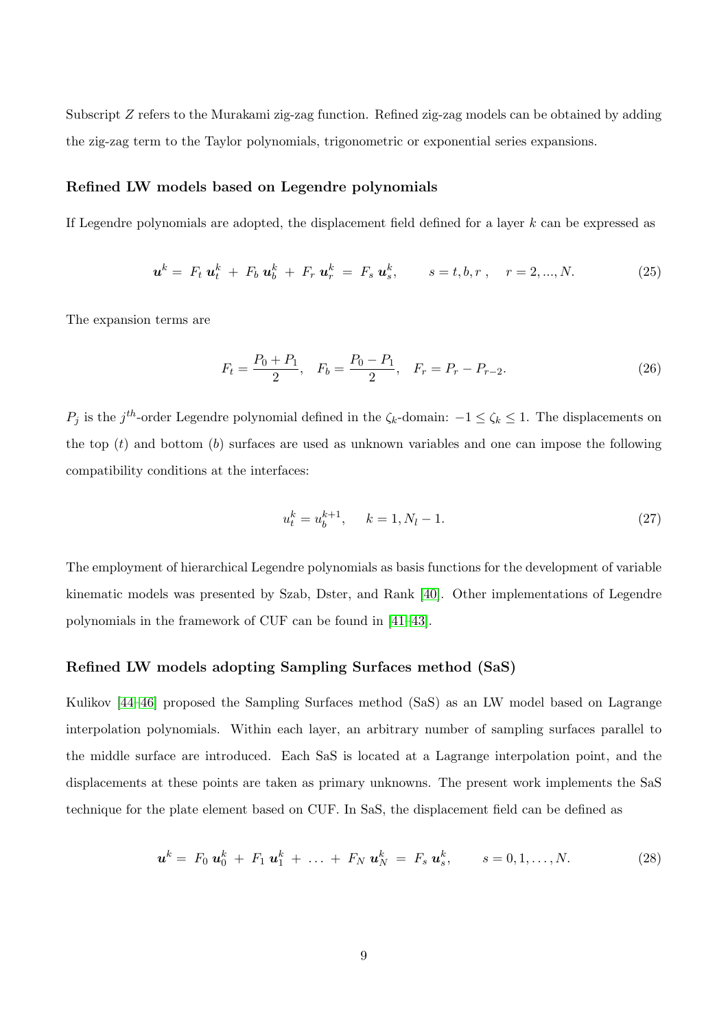Subscript Z refers to the Murakami zig-zag function. Refined zig-zag models can be obtained by adding the zig-zag term to the Taylor polynomials, trigonometric or exponential series expansions.

#### Refined LW models based on Legendre polynomials

If Legendre polynomials are adopted, the displacement field defined for a layer k can be expressed as

$$
\mathbf{u}^{k} = F_{t} \mathbf{u}_{t}^{k} + F_{b} \mathbf{u}_{b}^{k} + F_{r} \mathbf{u}_{r}^{k} = F_{s} \mathbf{u}_{s}^{k}, \qquad s = t, b, r, \quad r = 2, ..., N. \tag{25}
$$

The expansion terms are

$$
F_t = \frac{P_0 + P_1}{2}, \quad F_b = \frac{P_0 - P_1}{2}, \quad F_r = P_r - P_{r-2}.
$$
\n(26)

 $P_j$  is the j<sup>th</sup>-order Legendre polynomial defined in the  $\zeta_k$ -domain:  $-1 \leq \zeta_k \leq 1$ . The displacements on the top  $(t)$  and bottom  $(b)$  surfaces are used as unknown variables and one can impose the following compatibility conditions at the interfaces:

$$
u_t^k = u_b^{k+1}, \quad k = 1, N_l - 1. \tag{27}
$$

The employment of hierarchical Legendre polynomials as basis functions for the development of variable kinematic models was presented by Szab, Dster, and Rank [40]. Other implementations of Legendre polynomials in the framework of CUF can be found in [41–43].

#### Refined LW models adopting Sampling Surfaces method (SaS)

Kulikov [44–46] proposed the Sampling Surfaces method (SaS) as an LW model based on Lagrange interpolation polynomials. Within each layer, an arbitrary number of sampling surfaces parallel to the middle surface are introduced. Each SaS is located at a Lagrange interpolation point, and the displacements at these points are taken as primary unknowns. The present work implements the SaS technique for the plate element based on CUF. In SaS, the displacement field can be defined as

$$
\mathbf{u}^{k} = F_{0} \mathbf{u}_{0}^{k} + F_{1} \mathbf{u}_{1}^{k} + \ldots + F_{N} \mathbf{u}_{N}^{k} = F_{s} \mathbf{u}_{s}^{k}, \qquad s = 0, 1, \ldots, N. \tag{28}
$$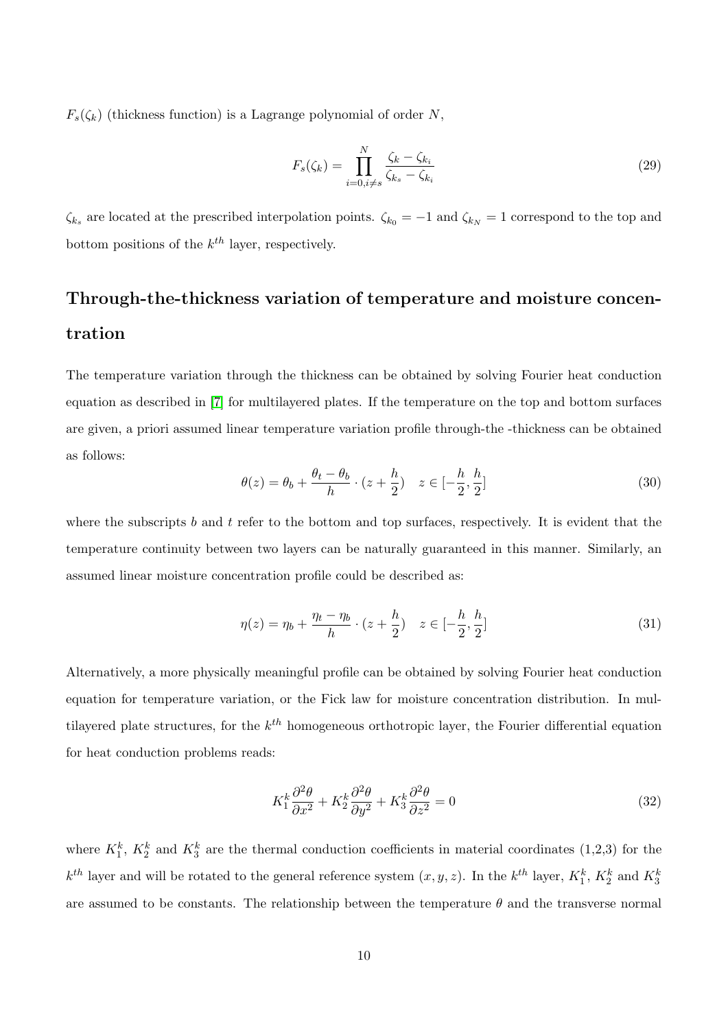$F_s(\zeta_k)$  (thickness function) is a Lagrange polynomial of order N,

$$
F_s(\zeta_k) = \prod_{i=0, i \neq s}^{N} \frac{\zeta_k - \zeta_{k_i}}{\zeta_{k_s} - \zeta_{k_i}}
$$
\n(29)

 $\zeta_{k_s}$  are located at the prescribed interpolation points.  $\zeta_{k_0} = -1$  and  $\zeta_{k_N} = 1$  correspond to the top and bottom positions of the  $k^{th}$  layer, respectively.

# Through-the-thickness variation of temperature and moisture concentration

The temperature variation through the thickness can be obtained by solving Fourier heat conduction equation as described in [7] for multilayered plates. If the temperature on the top and bottom surfaces are given, a priori assumed linear temperature variation profile through-the -thickness can be obtained as follows:

$$
\theta(z) = \theta_b + \frac{\theta_t - \theta_b}{h} \cdot (z + \frac{h}{2}) \quad z \in [-\frac{h}{2}, \frac{h}{2}] \tag{30}
$$

where the subscripts  $b$  and  $t$  refer to the bottom and top surfaces, respectively. It is evident that the temperature continuity between two layers can be naturally guaranteed in this manner. Similarly, an assumed linear moisture concentration profile could be described as:

$$
\eta(z) = \eta_b + \frac{\eta_t - \eta_b}{h} \cdot (z + \frac{h}{2}) \quad z \in [-\frac{h}{2}, \frac{h}{2}] \tag{31}
$$

Alternatively, a more physically meaningful profile can be obtained by solving Fourier heat conduction equation for temperature variation, or the Fick law for moisture concentration distribution. In multilayered plate structures, for the  $k^{th}$  homogeneous orthotropic layer, the Fourier differential equation for heat conduction problems reads:

$$
K_1^k \frac{\partial^2 \theta}{\partial x^2} + K_2^k \frac{\partial^2 \theta}{\partial y^2} + K_3^k \frac{\partial^2 \theta}{\partial z^2} = 0
$$
\n(32)

where  $K_1^k$ ,  $K_2^k$  and  $K_3^k$  are the thermal conduction coefficients in material coordinates (1,2,3) for the  $k^{th}$  layer and will be rotated to the general reference system  $(x, y, z)$ . In the  $k^{th}$  layer,  $K_1^k$ ,  $K_2^k$  and  $K_3^k$ are assumed to be constants. The relationship between the temperature  $\theta$  and the transverse normal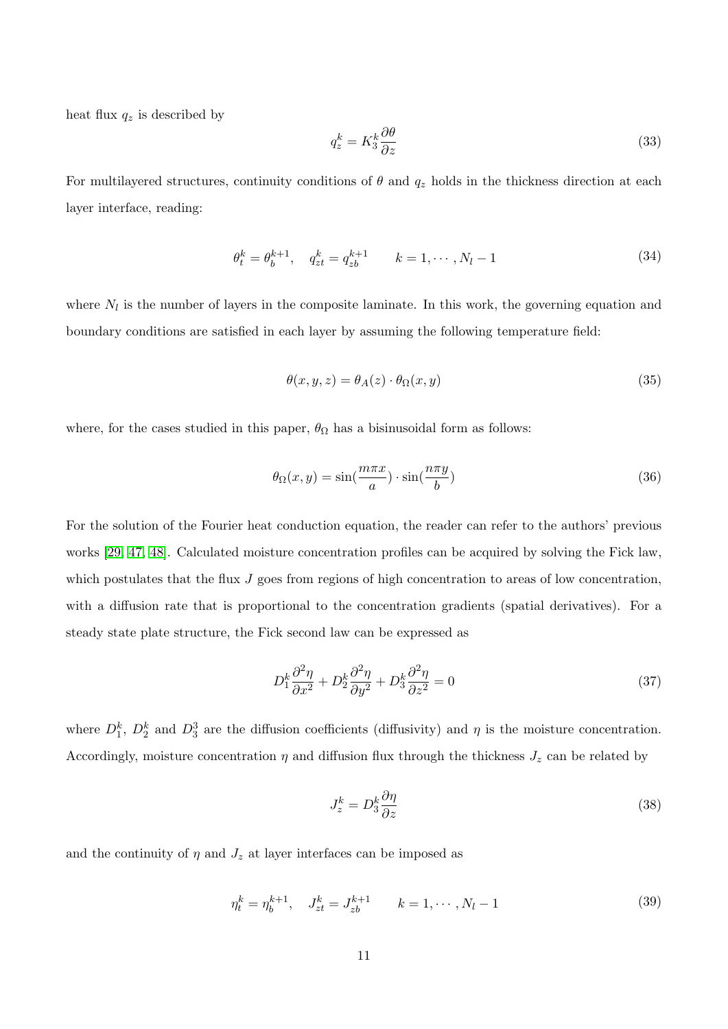heat flux  $q_z$  is described by

$$
q_z^k = K_3^k \frac{\partial \theta}{\partial z} \tag{33}
$$

For multilayered structures, continuity conditions of  $\theta$  and  $q_z$  holds in the thickness direction at each layer interface, reading:

$$
\theta_t^k = \theta_b^{k+1}, \quad q_{zt}^k = q_{zb}^{k+1} \qquad k = 1, \cdots, N_l - 1 \tag{34}
$$

where  $N_l$  is the number of layers in the composite laminate. In this work, the governing equation and boundary conditions are satisfied in each layer by assuming the following temperature field:

$$
\theta(x, y, z) = \theta_A(z) \cdot \theta_\Omega(x, y) \tag{35}
$$

where, for the cases studied in this paper,  $\theta_{\Omega}$  has a bisinusoidal form as follows:

$$
\theta_{\Omega}(x,y) = \sin(\frac{m\pi x}{a}) \cdot \sin(\frac{n\pi y}{b})
$$
\n(36)

For the solution of the Fourier heat conduction equation, the reader can refer to the authors' previous works [29, 47, 48]. Calculated moisture concentration profiles can be acquired by solving the Fick law, which postulates that the flux J goes from regions of high concentration to areas of low concentration, with a diffusion rate that is proportional to the concentration gradients (spatial derivatives). For a steady state plate structure, the Fick second law can be expressed as

$$
D_1^k \frac{\partial^2 \eta}{\partial x^2} + D_2^k \frac{\partial^2 \eta}{\partial y^2} + D_3^k \frac{\partial^2 \eta}{\partial z^2} = 0
$$
\n<sup>(37)</sup>

where  $D_1^k$ ,  $D_2^k$  and  $D_3^3$  are the diffusion coefficients (diffusivity) and  $\eta$  is the moisture concentration. Accordingly, moisture concentration  $\eta$  and diffusion flux through the thickness  $J_z$  can be related by

$$
J_z^k = D_3^k \frac{\partial \eta}{\partial z} \tag{38}
$$

and the continuity of  $\eta$  and  $J_z$  at layer interfaces can be imposed as

$$
\eta_t^k = \eta_b^{k+1}, \quad J_{zt}^k = J_{zb}^{k+1} \qquad k = 1, \cdots, N_l - 1 \tag{39}
$$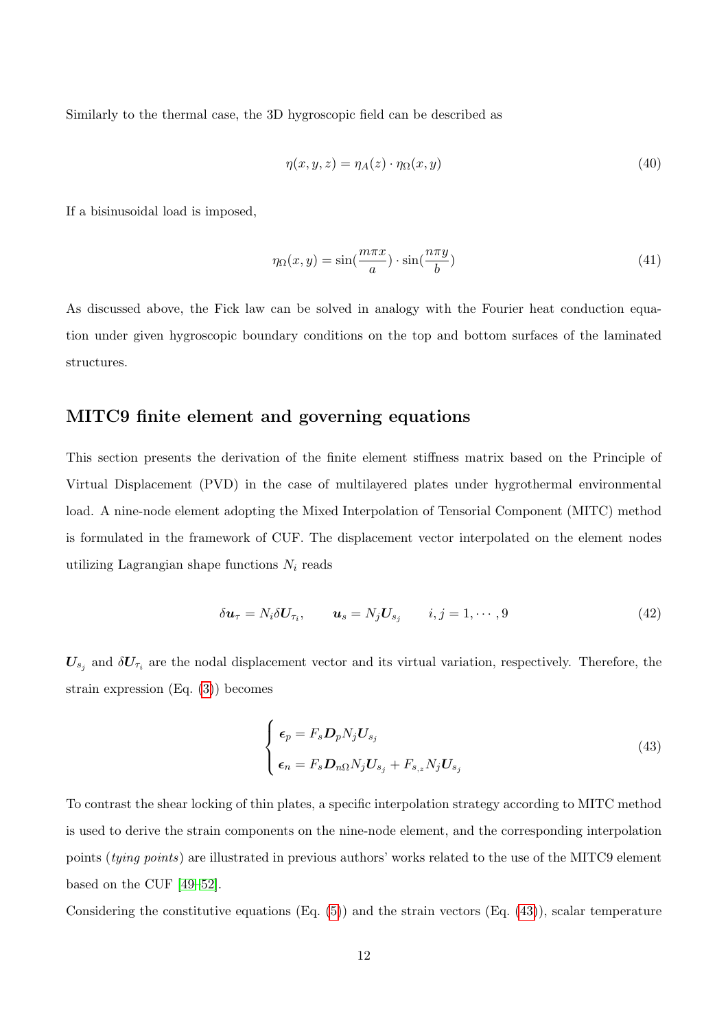Similarly to the thermal case, the 3D hygroscopic field can be described as

$$
\eta(x, y, z) = \eta_A(z) \cdot \eta_\Omega(x, y) \tag{40}
$$

If a bisinusoidal load is imposed,

$$
\eta_{\Omega}(x,y) = \sin(\frac{m\pi x}{a}) \cdot \sin(\frac{n\pi y}{b})
$$
\n(41)

As discussed above, the Fick law can be solved in analogy with the Fourier heat conduction equation under given hygroscopic boundary conditions on the top and bottom surfaces of the laminated structures.

## MITC9 finite element and governing equations

This section presents the derivation of the finite element stiffness matrix based on the Principle of Virtual Displacement (PVD) in the case of multilayered plates under hygrothermal environmental load. A nine-node element adopting the Mixed Interpolation of Tensorial Component (MITC) method is formulated in the framework of CUF. The displacement vector interpolated on the element nodes utilizing Lagrangian shape functions  $N_i$  reads

$$
\delta \mathbf{u}_{\tau} = N_i \delta \mathbf{U}_{\tau_i}, \qquad \mathbf{u}_s = N_j \mathbf{U}_{s_j} \qquad i, j = 1, \cdots, 9 \tag{42}
$$

 $U_{s_j}$  and  $\delta U_{\tau_i}$  are the nodal displacement vector and its virtual variation, respectively. Therefore, the strain expression (Eq. (3)) becomes

$$
\begin{cases} \epsilon_p = F_s \mathbf{D}_p N_j \mathbf{U}_{s_j} \\ \epsilon_n = F_s \mathbf{D}_{n\Omega} N_j \mathbf{U}_{s_j} + F_{s,z} N_j \mathbf{U}_{s_j} \end{cases}
$$
(43)

To contrast the shear locking of thin plates, a specific interpolation strategy according to MITC method is used to derive the strain components on the nine-node element, and the corresponding interpolation points (tying points) are illustrated in previous authors' works related to the use of the MITC9 element based on the CUF [49–52].

Considering the constitutive equations  $(Eq. (5))$  and the strain vectors  $(Eq. (43))$ , scalar temperature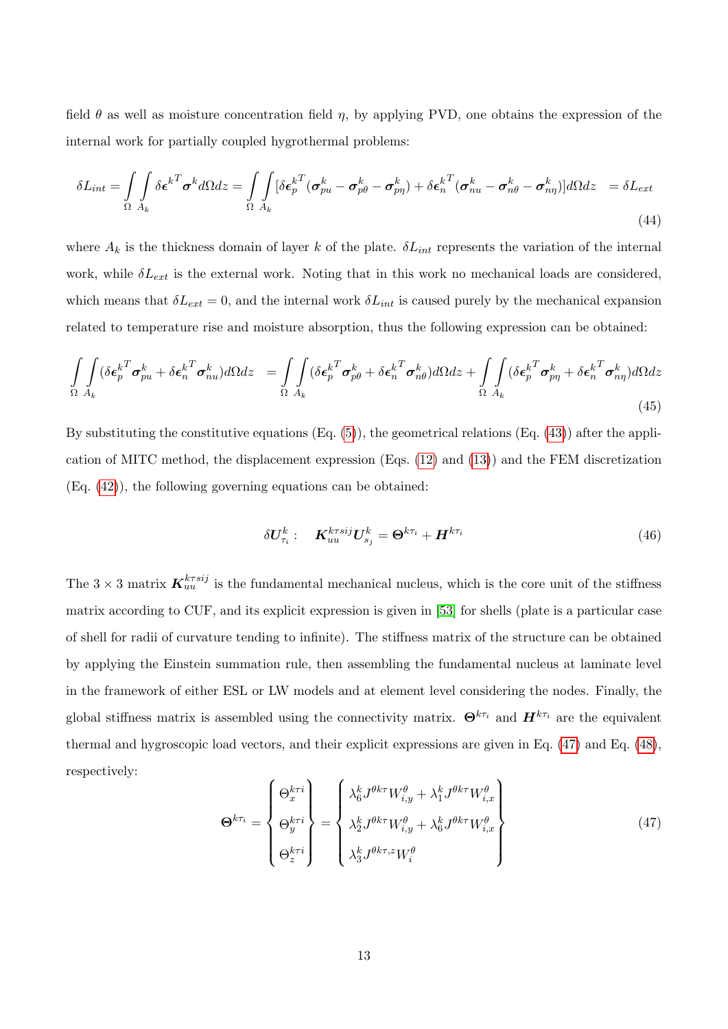field  $\theta$  as well as moisture concentration field  $\eta$ , by applying PVD, one obtains the expression of the internal work for partially coupled hygrothermal problems:

$$
\delta L_{int} = \int_{\Omega} \int_{A_k} \delta \boldsymbol{\epsilon}^{k} \boldsymbol{\sigma}^k d\Omega dz = \int_{\Omega} \int_{A_k} [\delta \boldsymbol{\epsilon}_p^{k} (\boldsymbol{\sigma}_{pu}^k - \boldsymbol{\sigma}_{p\theta}^k - \boldsymbol{\sigma}_{pp}^k) + \delta \boldsymbol{\epsilon}_n^{k} (\boldsymbol{\sigma}_{nu}^k - \boldsymbol{\sigma}_{n\theta}^k - \boldsymbol{\sigma}_{n\eta}^k)] d\Omega dz = \delta L_{ext}
$$
\n(44)

where  $A_k$  is the thickness domain of layer k of the plate.  $\delta L_{int}$  represents the variation of the internal work, while  $\delta L_{ext}$  is the external work. Noting that in this work no mechanical loads are considered, which means that  $\delta L_{ext} = 0$ , and the internal work  $\delta L_{int}$  is caused purely by the mechanical expansion related to temperature rise and moisture absorption, thus the following expression can be obtained:

$$
\int_{\Omega} \int_{A_k} (\delta \epsilon_p^{kT} \sigma_{pu}^k + \delta \epsilon_n^{kT} \sigma_{nu}^k) d\Omega dz = \int_{\Omega} \int_{A_k} (\delta \epsilon_p^{kT} \sigma_{p\theta}^k + \delta \epsilon_n^{kT} \sigma_{n\theta}^k) d\Omega dz + \int_{\Omega} \int_{A_k} (\delta \epsilon_p^{kT} \sigma_{pp}^k + \delta \epsilon_n^{kT} \sigma_{np}^k) d\Omega dz
$$
\n(45)

By substituting the constitutive equations  $(Eq. (5))$ , the geometrical relations  $(Eq. (43))$  after the application of MITC method, the displacement expression (Eqs. (12) and (13)) and the FEM discretization (Eq. (42)), the following governing equations can be obtained:

$$
\delta \mathbf{U}_{\tau_i}^k : \quad \mathbf{K}_{uu}^{k\tau sij} \mathbf{U}_{s_j}^k = \mathbf{\Theta}^{k\tau_i} + \mathbf{H}^{k\tau_i} \tag{46}
$$

The  $3 \times 3$  matrix  $K_{uu}^{krsij}$  is the fundamental mechanical nucleus, which is the core unit of the stiffness matrix according to CUF, and its explicit expression is given in [53] for shells (plate is a particular case of shell for radii of curvature tending to infinite). The stiffness matrix of the structure can be obtained by applying the Einstein summation rule, then assembling the fundamental nucleus at laminate level in the framework of either ESL or LW models and at element level considering the nodes. Finally, the global stiffness matrix is assembled using the connectivity matrix.  $\mathbf{\Theta}^{k\tau_i}$  and  $\mathbf{H}^{k\tau_i}$  are the equivalent thermal and hygroscopic load vectors, and their explicit expressions are given in Eq. (47) and Eq. (48), respectively:

$$
\Theta^{k\tau_{i}} = \begin{Bmatrix} \Theta_{x}^{k\tau_{i}} \\ \Theta_{y}^{k\tau_{i}} \\ \Theta_{z}^{k\tau_{i}} \end{Bmatrix} = \begin{Bmatrix} \lambda_{6}^{k} J^{\theta k\tau} W_{i,y}^{\theta} + \lambda_{1}^{k} J^{\theta k\tau} W_{i,x}^{\theta} \\ \lambda_{2}^{k} J^{\theta k\tau} W_{i,y}^{\theta} + \lambda_{6}^{k} J^{\theta k\tau} W_{i,x}^{\theta} \\ \lambda_{3}^{k} J^{\theta k\tau,z} W_{i}^{\theta} \end{Bmatrix}
$$
(47)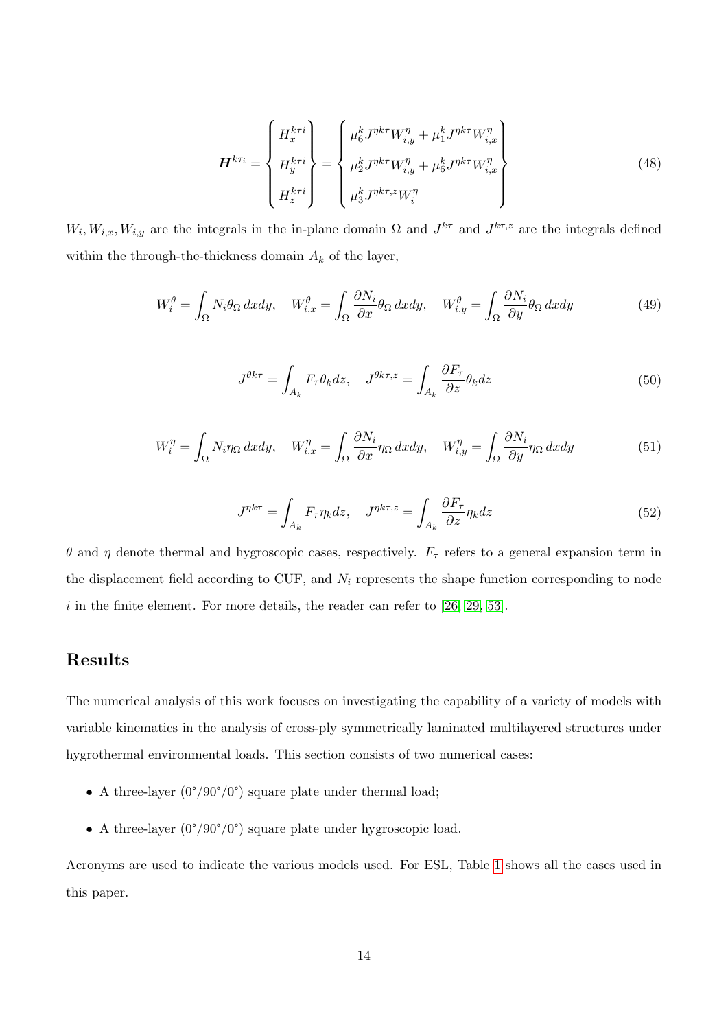$$
\mathbf{H}^{k\tau_{i}} = \begin{Bmatrix} H_x^{k\tau i} \\ H_y^{k\tau i} \\ H_z^{k\tau i} \end{Bmatrix} = \begin{Bmatrix} \mu_6^k J^{\eta k\tau} W_{i,y}^{\eta} + \mu_1^k J^{\eta k\tau} W_{i,x}^{\eta} \\ \mu_2^k J^{\eta k\tau} W_{i,y}^{\eta} + \mu_6^k J^{\eta k\tau} W_{i,x}^{\eta} \\ \mu_3^k J^{\eta k\tau,z} W_i^{\eta} \end{Bmatrix}
$$
(48)

 $W_i, W_{i,x}, W_{i,y}$  are the integrals in the in-plane domain  $\Omega$  and  $J^{k\tau}$  and  $J^{k\tau,z}$  are the integrals defined within the through-the-thickness domain  $A_k$  of the layer,

$$
W_i^{\theta} = \int_{\Omega} N_i \theta_{\Omega} \, dxdy, \quad W_{i,x}^{\theta} = \int_{\Omega} \frac{\partial N_i}{\partial x} \theta_{\Omega} \, dxdy, \quad W_{i,y}^{\theta} = \int_{\Omega} \frac{\partial N_i}{\partial y} \theta_{\Omega} \, dxdy \tag{49}
$$

$$
J^{\theta k \tau} = \int_{A_k} F_{\tau} \theta_k dz, \quad J^{\theta k \tau, z} = \int_{A_k} \frac{\partial F_{\tau}}{\partial z} \theta_k dz \tag{50}
$$

$$
W_i^{\eta} = \int_{\Omega} N_i \eta_{\Omega} \, dx dy, \quad W_{i,x}^{\eta} = \int_{\Omega} \frac{\partial N_i}{\partial x} \eta_{\Omega} \, dx dy, \quad W_{i,y}^{\eta} = \int_{\Omega} \frac{\partial N_i}{\partial y} \eta_{\Omega} \, dx dy \tag{51}
$$

$$
J^{\eta k\tau} = \int_{A_k} F_{\tau} \eta_k dz, \quad J^{\eta k\tau, z} = \int_{A_k} \frac{\partial F_{\tau}}{\partial z} \eta_k dz \tag{52}
$$

θ and η denote thermal and hygroscopic cases, respectively.  $F<sub>τ</sub>$  refers to a general expansion term in the displacement field according to CUF, and  $N_i$  represents the shape function corresponding to node  $i$  in the finite element. For more details, the reader can refer to [26, 29, 53].

## Results

The numerical analysis of this work focuses on investigating the capability of a variety of models with variable kinematics in the analysis of cross-ply symmetrically laminated multilayered structures under hygrothermal environmental loads. This section consists of two numerical cases:

- A three-layer  $(0^{\circ}/90^{\circ}/0^{\circ})$  square plate under thermal load;
- A three-layer  $(0^{\circ}/90^{\circ}/0^{\circ})$  square plate under hygroscopic load.

Acronyms are used to indicate the various models used. For ESL, Table 1 shows all the cases used in this paper.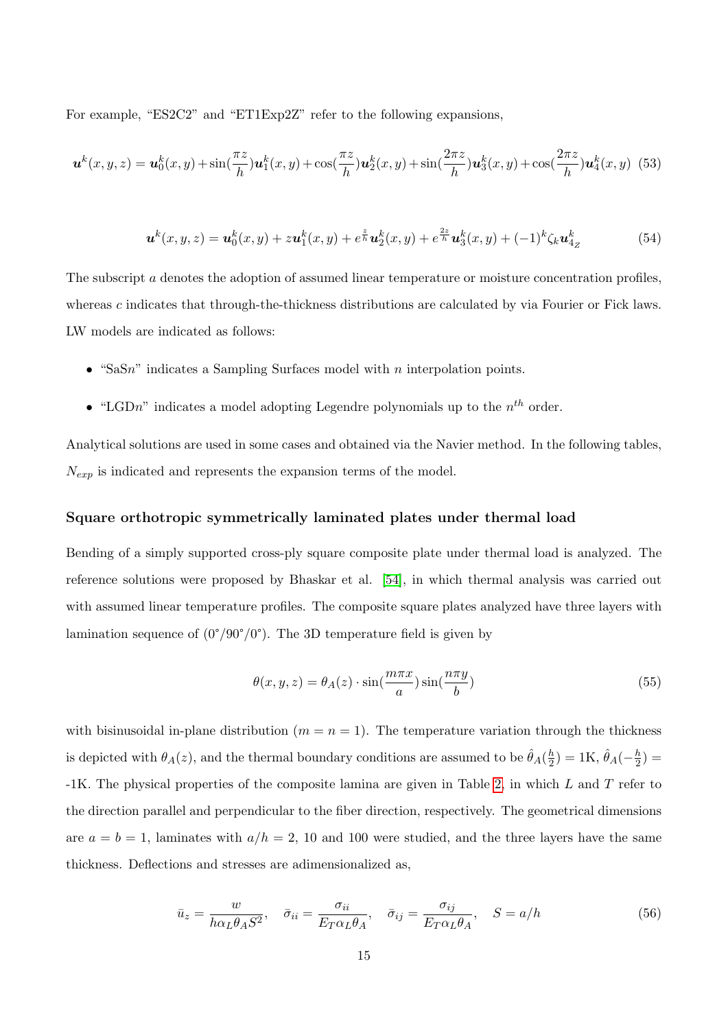For example, "ES2C2" and "ET1Exp2Z" refer to the following expansions,

$$
\boldsymbol{u}^k(x,y,z) = \boldsymbol{u}_0^k(x,y) + \sin(\frac{\pi z}{h})\boldsymbol{u}_1^k(x,y) + \cos(\frac{\pi z}{h})\boldsymbol{u}_2^k(x,y) + \sin(\frac{2\pi z}{h})\boldsymbol{u}_3^k(x,y) + \cos(\frac{2\pi z}{h})\boldsymbol{u}_4^k(x,y)
$$
 (53)

$$
\mathbf{u}^{k}(x,y,z) = \mathbf{u}_{0}^{k}(x,y) + z\mathbf{u}_{1}^{k}(x,y) + e^{\frac{z}{h}}\mathbf{u}_{2}^{k}(x,y) + e^{\frac{2z}{h}}\mathbf{u}_{3}^{k}(x,y) + (-1)^{k}\zeta_{k}\mathbf{u}_{4z}^{k}
$$
(54)

The subscript a denotes the adoption of assumed linear temperature or moisture concentration profiles, whereas c indicates that through-the-thickness distributions are calculated by via Fourier or Fick laws. LW models are indicated as follows:

- "SaSn" indicates a Sampling Surfaces model with n interpolation points.
- "LGDn" indicates a model adopting Legendre polynomials up to the  $n^{th}$  order.

Analytical solutions are used in some cases and obtained via the Navier method. In the following tables,  $N_{exp}$  is indicated and represents the expansion terms of the model.

#### Square orthotropic symmetrically laminated plates under thermal load

Bending of a simply supported cross-ply square composite plate under thermal load is analyzed. The reference solutions were proposed by Bhaskar et al. [54], in which thermal analysis was carried out with assumed linear temperature profiles. The composite square plates analyzed have three layers with lamination sequence of  $(0^{\circ}/90^{\circ}/0^{\circ})$ . The 3D temperature field is given by

$$
\theta(x, y, z) = \theta_A(z) \cdot \sin(\frac{m\pi x}{a}) \sin(\frac{n\pi y}{b})
$$
\n(55)

with bisinusoidal in-plane distribution  $(m = n = 1)$ . The temperature variation through the thickness is depicted with  $\theta_A(z)$ , and the thermal boundary conditions are assumed to be  $\hat{\theta}_A(\frac{h}{2})$  $\frac{h}{2}) = 1$ K,  $\hat{\theta}_A(-\frac{h}{2})$  $\frac{h}{2}) =$ -1K. The physical properties of the composite lamina are given in Table 2, in which L and T refer to the direction parallel and perpendicular to the fiber direction, respectively. The geometrical dimensions are  $a = b = 1$ , laminates with  $a/h = 2$ , 10 and 100 were studied, and the three layers have the same thickness. Deflections and stresses are adimensionalized as,

$$
\bar{u}_z = \frac{w}{h\alpha_L \theta_A S^2}, \quad \bar{\sigma}_{ii} = \frac{\sigma_{ii}}{E_T \alpha_L \theta_A}, \quad \bar{\sigma}_{ij} = \frac{\sigma_{ij}}{E_T \alpha_L \theta_A}, \quad S = a/h \tag{56}
$$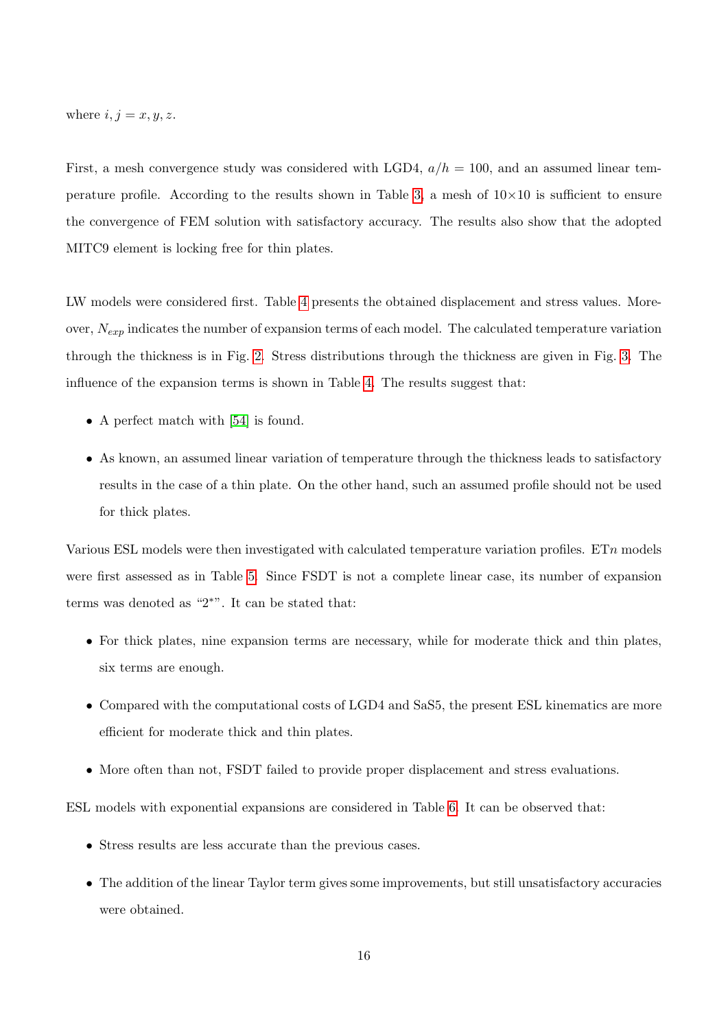where  $i, j = x, y, z$ .

First, a mesh convergence study was considered with LGD4,  $a/h = 100$ , and an assumed linear temperature profile. According to the results shown in Table 3, a mesh of  $10\times10$  is sufficient to ensure the convergence of FEM solution with satisfactory accuracy. The results also show that the adopted MITC9 element is locking free for thin plates.

LW models were considered first. Table 4 presents the obtained displacement and stress values. Moreover,  $N_{exp}$  indicates the number of expansion terms of each model. The calculated temperature variation through the thickness is in Fig. 2. Stress distributions through the thickness are given in Fig. 3. The influence of the expansion terms is shown in Table 4. The results suggest that:

- A perfect match with [54] is found.
- As known, an assumed linear variation of temperature through the thickness leads to satisfactory results in the case of a thin plate. On the other hand, such an assumed profile should not be used for thick plates.

Various ESL models were then investigated with calculated temperature variation profiles. ETn models were first assessed as in Table 5. Since FSDT is not a complete linear case, its number of expansion terms was denoted as "2∗". It can be stated that:

- For thick plates, nine expansion terms are necessary, while for moderate thick and thin plates, six terms are enough.
- Compared with the computational costs of LGD4 and SaS5, the present ESL kinematics are more efficient for moderate thick and thin plates.
- More often than not, FSDT failed to provide proper displacement and stress evaluations.

ESL models with exponential expansions are considered in Table 6. It can be observed that:

- Stress results are less accurate than the previous cases.
- The addition of the linear Taylor term gives some improvements, but still unsatisfactory accuracies were obtained.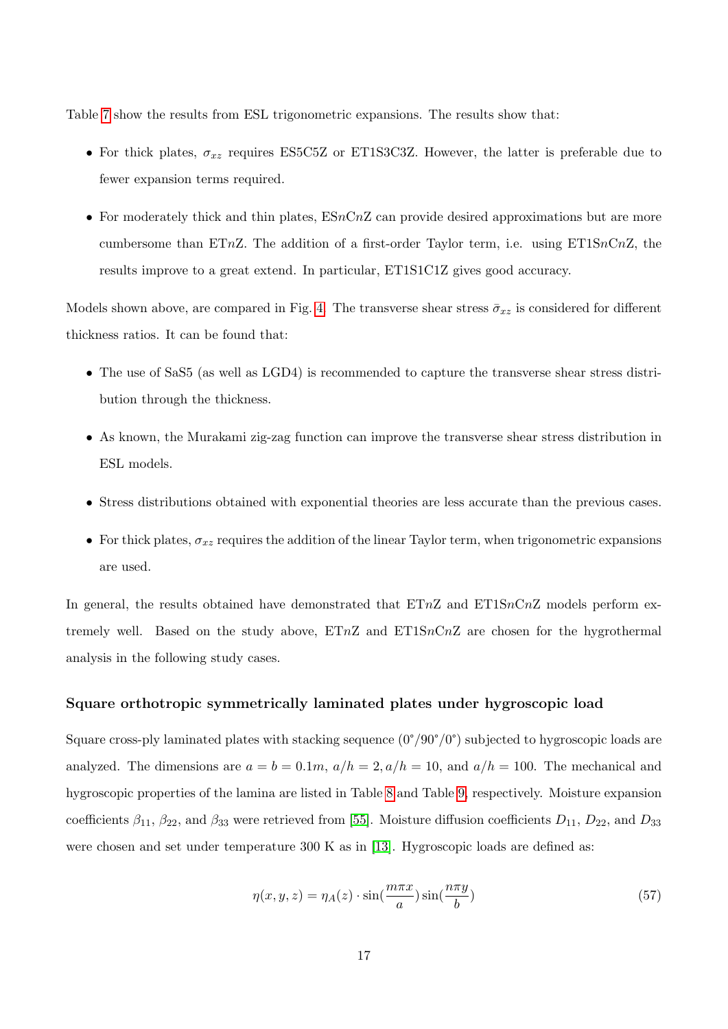Table 7 show the results from ESL trigonometric expansions. The results show that:

- For thick plates,  $\sigma_{xz}$  requires ES5C5Z or ET1S3C3Z. However, the latter is preferable due to fewer expansion terms required.
- For moderately thick and thin plates,  $ESnCnZ$  can provide desired approximations but are more cumbersome than ETnZ. The addition of a first-order Taylor term, i.e. using ET1SnCnZ, the results improve to a great extend. In particular, ET1S1C1Z gives good accuracy.

Models shown above, are compared in Fig. 4. The transverse shear stress  $\bar{\sigma}_{xz}$  is considered for different thickness ratios. It can be found that:

- The use of SaS5 (as well as LGD4) is recommended to capture the transverse shear stress distribution through the thickness.
- As known, the Murakami zig-zag function can improve the transverse shear stress distribution in ESL models.
- Stress distributions obtained with exponential theories are less accurate than the previous cases.
- For thick plates,  $\sigma_{xz}$  requires the addition of the linear Taylor term, when trigonometric expansions are used.

In general, the results obtained have demonstrated that  $ETnZ$  and  $ET1SnCnZ$  models perform extremely well. Based on the study above,  $ETnZ$  and  $ET1SnCnZ$  are chosen for the hygrothermal analysis in the following study cases.

#### Square orthotropic symmetrically laminated plates under hygroscopic load

Square cross-ply laminated plates with stacking sequence  $(0^{\circ}/90^{\circ}/0^{\circ})$  subjected to hygroscopic loads are analyzed. The dimensions are  $a = b = 0.1m$ ,  $a/h = 2$ ,  $a/h = 10$ , and  $a/h = 100$ . The mechanical and hygroscopic properties of the lamina are listed in Table 8 and Table 9, respectively. Moisture expansion coefficients  $\beta_{11}$ ,  $\beta_{22}$ , and  $\beta_{33}$  were retrieved from [55]. Moisture diffusion coefficients  $D_{11}$ ,  $D_{22}$ , and  $D_{33}$ were chosen and set under temperature 300 K as in [13]. Hygroscopic loads are defined as:

$$
\eta(x, y, z) = \eta_A(z) \cdot \sin(\frac{m\pi x}{a}) \sin(\frac{n\pi y}{b})
$$
\n(57)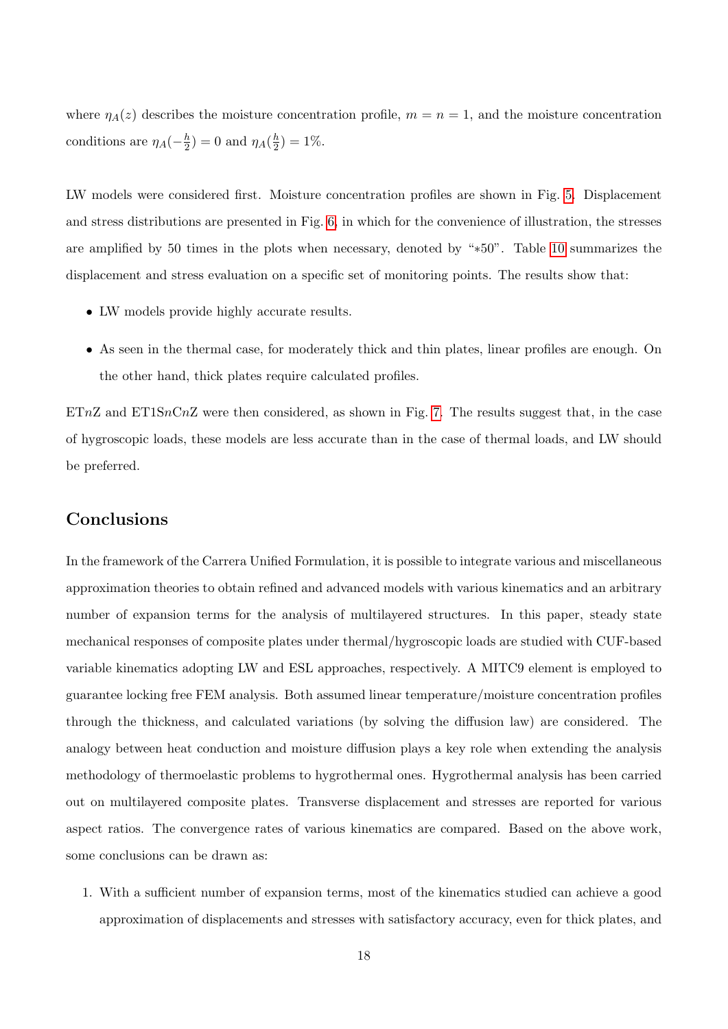where  $\eta_A(z)$  describes the moisture concentration profile,  $m = n = 1$ , and the moisture concentration conditions are  $\eta_A(-\frac{h}{2})$  $\frac{h}{2}$ ) = 0 and  $\eta_A(\frac{h}{2})$  $\frac{h}{2}) = 1\%.$ 

LW models were considered first. Moisture concentration profiles are shown in Fig. 5. Displacement and stress distributions are presented in Fig. 6, in which for the convenience of illustration, the stresses are amplified by 50 times in the plots when necessary, denoted by "∗50". Table 10 summarizes the displacement and stress evaluation on a specific set of monitoring points. The results show that:

- LW models provide highly accurate results.
- As seen in the thermal case, for moderately thick and thin plates, linear profiles are enough. On the other hand, thick plates require calculated profiles.

 $ETnZ$  and  $ET1SnCnZ$  were then considered, as shown in Fig. 7. The results suggest that, in the case of hygroscopic loads, these models are less accurate than in the case of thermal loads, and LW should be preferred.

## Conclusions

In the framework of the Carrera Unified Formulation, it is possible to integrate various and miscellaneous approximation theories to obtain refined and advanced models with various kinematics and an arbitrary number of expansion terms for the analysis of multilayered structures. In this paper, steady state mechanical responses of composite plates under thermal/hygroscopic loads are studied with CUF-based variable kinematics adopting LW and ESL approaches, respectively. A MITC9 element is employed to guarantee locking free FEM analysis. Both assumed linear temperature/moisture concentration profiles through the thickness, and calculated variations (by solving the diffusion law) are considered. The analogy between heat conduction and moisture diffusion plays a key role when extending the analysis methodology of thermoelastic problems to hygrothermal ones. Hygrothermal analysis has been carried out on multilayered composite plates. Transverse displacement and stresses are reported for various aspect ratios. The convergence rates of various kinematics are compared. Based on the above work, some conclusions can be drawn as:

1. With a sufficient number of expansion terms, most of the kinematics studied can achieve a good approximation of displacements and stresses with satisfactory accuracy, even for thick plates, and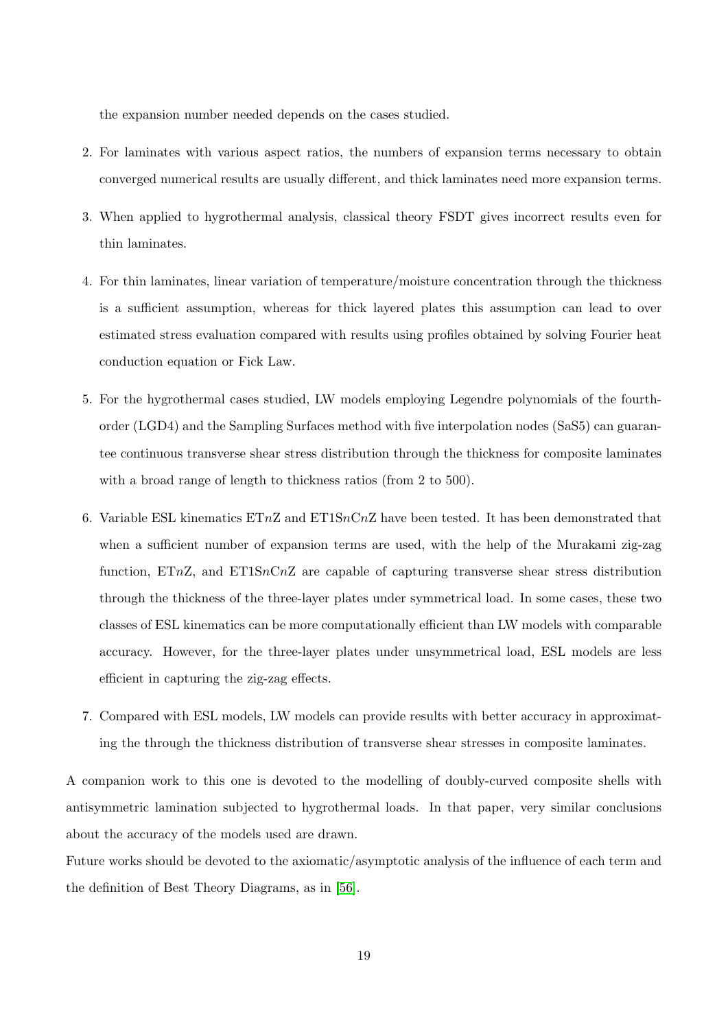the expansion number needed depends on the cases studied.

- 2. For laminates with various aspect ratios, the numbers of expansion terms necessary to obtain converged numerical results are usually different, and thick laminates need more expansion terms.
- 3. When applied to hygrothermal analysis, classical theory FSDT gives incorrect results even for thin laminates.
- 4. For thin laminates, linear variation of temperature/moisture concentration through the thickness is a sufficient assumption, whereas for thick layered plates this assumption can lead to over estimated stress evaluation compared with results using profiles obtained by solving Fourier heat conduction equation or Fick Law.
- 5. For the hygrothermal cases studied, LW models employing Legendre polynomials of the fourthorder (LGD4) and the Sampling Surfaces method with five interpolation nodes (SaS5) can guarantee continuous transverse shear stress distribution through the thickness for composite laminates with a broad range of length to thickness ratios (from 2 to 500).
- 6. Variable ESL kinematics  $ETnZ$  and  $ET1SnCnZ$  have been tested. It has been demonstrated that when a sufficient number of expansion terms are used, with the help of the Murakami zig-zag function,  $ETnZ$ , and  $ET1SnCnZ$  are capable of capturing transverse shear stress distribution through the thickness of the three-layer plates under symmetrical load. In some cases, these two classes of ESL kinematics can be more computationally efficient than LW models with comparable accuracy. However, for the three-layer plates under unsymmetrical load, ESL models are less efficient in capturing the zig-zag effects.
- 7. Compared with ESL models, LW models can provide results with better accuracy in approximating the through the thickness distribution of transverse shear stresses in composite laminates.

A companion work to this one is devoted to the modelling of doubly-curved composite shells with antisymmetric lamination subjected to hygrothermal loads. In that paper, very similar conclusions about the accuracy of the models used are drawn.

Future works should be devoted to the axiomatic/asymptotic analysis of the influence of each term and the definition of Best Theory Diagrams, as in [56].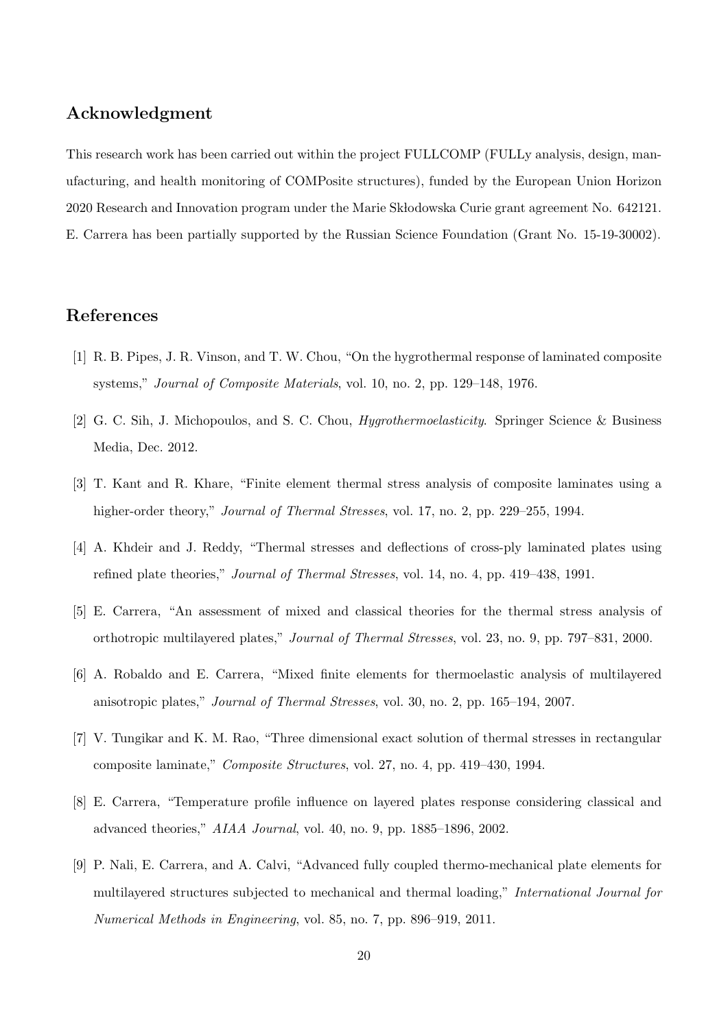## Acknowledgment

This research work has been carried out within the project FULLCOMP (FULLy analysis, design, manufacturing, and health monitoring of COMPosite structures), funded by the European Union Horizon 2020 Research and Innovation program under the Marie Skłodowska Curie grant agreement No. 642121. E. Carrera has been partially supported by the Russian Science Foundation (Grant No. 15-19-30002).

## References

- [1] R. B. Pipes, J. R. Vinson, and T. W. Chou, "On the hygrothermal response of laminated composite systems," Journal of Composite Materials, vol. 10, no. 2, pp. 129–148, 1976.
- [2] G. C. Sih, J. Michopoulos, and S. C. Chou, Hygrothermoelasticity. Springer Science & Business Media, Dec. 2012.
- [3] T. Kant and R. Khare, "Finite element thermal stress analysis of composite laminates using a higher-order theory," *Journal of Thermal Stresses*, vol. 17, no. 2, pp. 229–255, 1994.
- [4] A. Khdeir and J. Reddy, "Thermal stresses and deflections of cross-ply laminated plates using refined plate theories," Journal of Thermal Stresses, vol. 14, no. 4, pp. 419–438, 1991.
- [5] E. Carrera, "An assessment of mixed and classical theories for the thermal stress analysis of orthotropic multilayered plates," Journal of Thermal Stresses, vol. 23, no. 9, pp. 797–831, 2000.
- [6] A. Robaldo and E. Carrera, "Mixed finite elements for thermoelastic analysis of multilayered anisotropic plates," Journal of Thermal Stresses, vol. 30, no. 2, pp. 165–194, 2007.
- [7] V. Tungikar and K. M. Rao, "Three dimensional exact solution of thermal stresses in rectangular composite laminate," Composite Structures, vol. 27, no. 4, pp. 419–430, 1994.
- [8] E. Carrera, "Temperature profile influence on layered plates response considering classical and advanced theories," AIAA Journal, vol. 40, no. 9, pp. 1885–1896, 2002.
- [9] P. Nali, E. Carrera, and A. Calvi, "Advanced fully coupled thermo-mechanical plate elements for multilayered structures subjected to mechanical and thermal loading," International Journal for Numerical Methods in Engineering, vol. 85, no. 7, pp. 896–919, 2011.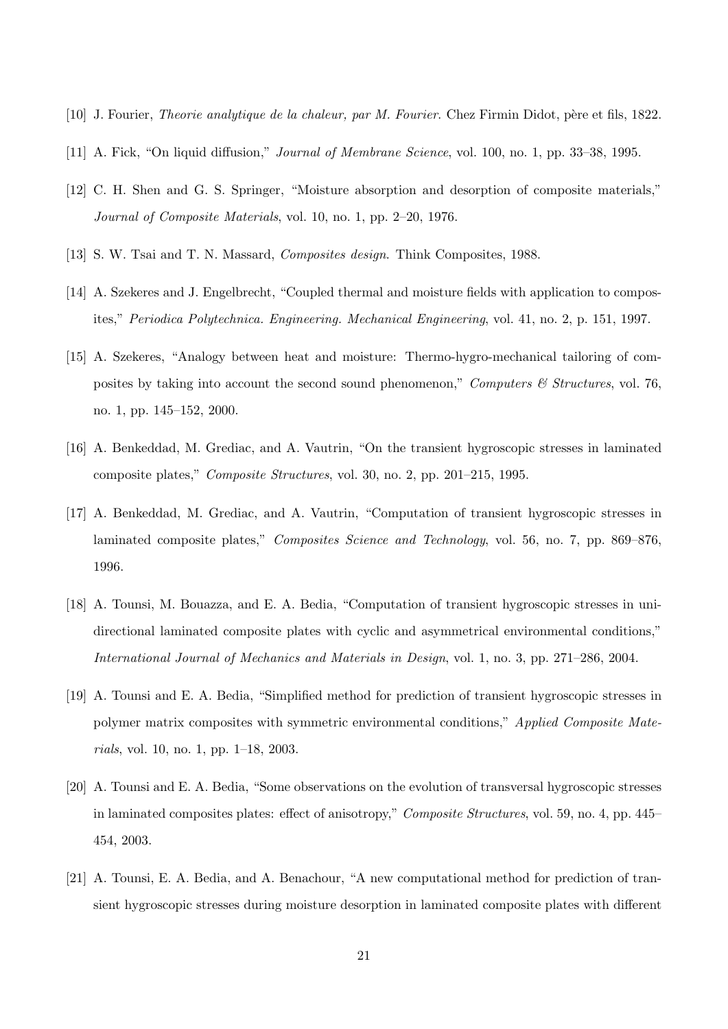- [10] J. Fourier, *Theorie analytique de la chaleur, par M. Fourier*. Chez Firmin Didot, père et fils, 1822.
- [11] A. Fick, "On liquid diffusion," *Journal of Membrane Science*, vol. 100, no. 1, pp. 33-38, 1995.
- [12] C. H. Shen and G. S. Springer, "Moisture absorption and desorption of composite materials," Journal of Composite Materials, vol. 10, no. 1, pp. 2–20, 1976.
- [13] S. W. Tsai and T. N. Massard, *Composites design*. Think Composites, 1988.
- [14] A. Szekeres and J. Engelbrecht, "Coupled thermal and moisture fields with application to composites," Periodica Polytechnica. Engineering. Mechanical Engineering, vol. 41, no. 2, p. 151, 1997.
- [15] A. Szekeres, "Analogy between heat and moisture: Thermo-hygro-mechanical tailoring of composites by taking into account the second sound phenomenon," Computers  $\mathcal C$  Structures, vol. 76, no. 1, pp. 145–152, 2000.
- [16] A. Benkeddad, M. Grediac, and A. Vautrin, "On the transient hygroscopic stresses in laminated composite plates," Composite Structures, vol. 30, no. 2, pp. 201–215, 1995.
- [17] A. Benkeddad, M. Grediac, and A. Vautrin, "Computation of transient hygroscopic stresses in laminated composite plates," Composites Science and Technology, vol. 56, no. 7, pp. 869–876, 1996.
- [18] A. Tounsi, M. Bouazza, and E. A. Bedia, "Computation of transient hygroscopic stresses in unidirectional laminated composite plates with cyclic and asymmetrical environmental conditions," International Journal of Mechanics and Materials in Design, vol. 1, no. 3, pp. 271–286, 2004.
- [19] A. Tounsi and E. A. Bedia, "Simplified method for prediction of transient hygroscopic stresses in polymer matrix composites with symmetric environmental conditions," Applied Composite Materials, vol. 10, no. 1, pp. 1–18, 2003.
- [20] A. Tounsi and E. A. Bedia, "Some observations on the evolution of transversal hygroscopic stresses in laminated composites plates: effect of anisotropy," Composite Structures, vol. 59, no. 4, pp. 445– 454, 2003.
- [21] A. Tounsi, E. A. Bedia, and A. Benachour, "A new computational method for prediction of transient hygroscopic stresses during moisture desorption in laminated composite plates with different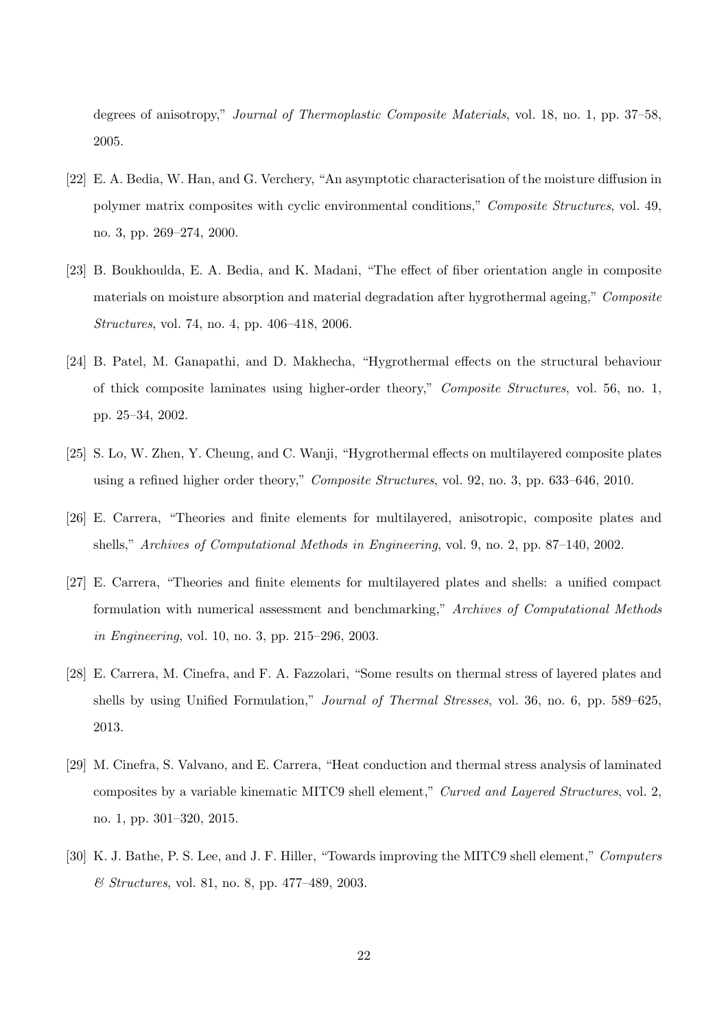degrees of anisotropy," Journal of Thermoplastic Composite Materials, vol. 18, no. 1, pp. 37–58, 2005.

- [22] E. A. Bedia, W. Han, and G. Verchery, "An asymptotic characterisation of the moisture diffusion in polymer matrix composites with cyclic environmental conditions," Composite Structures, vol. 49, no. 3, pp. 269–274, 2000.
- [23] B. Boukhoulda, E. A. Bedia, and K. Madani, "The effect of fiber orientation angle in composite materials on moisture absorption and material degradation after hygrothermal ageing," Composite Structures, vol. 74, no. 4, pp. 406–418, 2006.
- [24] B. Patel, M. Ganapathi, and D. Makhecha, "Hygrothermal effects on the structural behaviour of thick composite laminates using higher-order theory," Composite Structures, vol. 56, no. 1, pp. 25–34, 2002.
- [25] S. Lo, W. Zhen, Y. Cheung, and C. Wanji, "Hygrothermal effects on multilayered composite plates using a refined higher order theory," Composite Structures, vol. 92, no. 3, pp. 633–646, 2010.
- [26] E. Carrera, "Theories and finite elements for multilayered, anisotropic, composite plates and shells," Archives of Computational Methods in Engineering, vol. 9, no. 2, pp. 87–140, 2002.
- [27] E. Carrera, "Theories and finite elements for multilayered plates and shells: a unified compact formulation with numerical assessment and benchmarking," Archives of Computational Methods in Engineering, vol. 10, no. 3, pp. 215–296, 2003.
- [28] E. Carrera, M. Cinefra, and F. A. Fazzolari, "Some results on thermal stress of layered plates and shells by using Unified Formulation," Journal of Thermal Stresses, vol. 36, no. 6, pp. 589–625, 2013.
- [29] M. Cinefra, S. Valvano, and E. Carrera, "Heat conduction and thermal stress analysis of laminated composites by a variable kinematic MITC9 shell element," Curved and Layered Structures, vol. 2, no. 1, pp. 301–320, 2015.
- [30] K. J. Bathe, P. S. Lee, and J. F. Hiller, "Towards improving the MITC9 shell element," Computers & Structures, vol. 81, no. 8, pp. 477–489, 2003.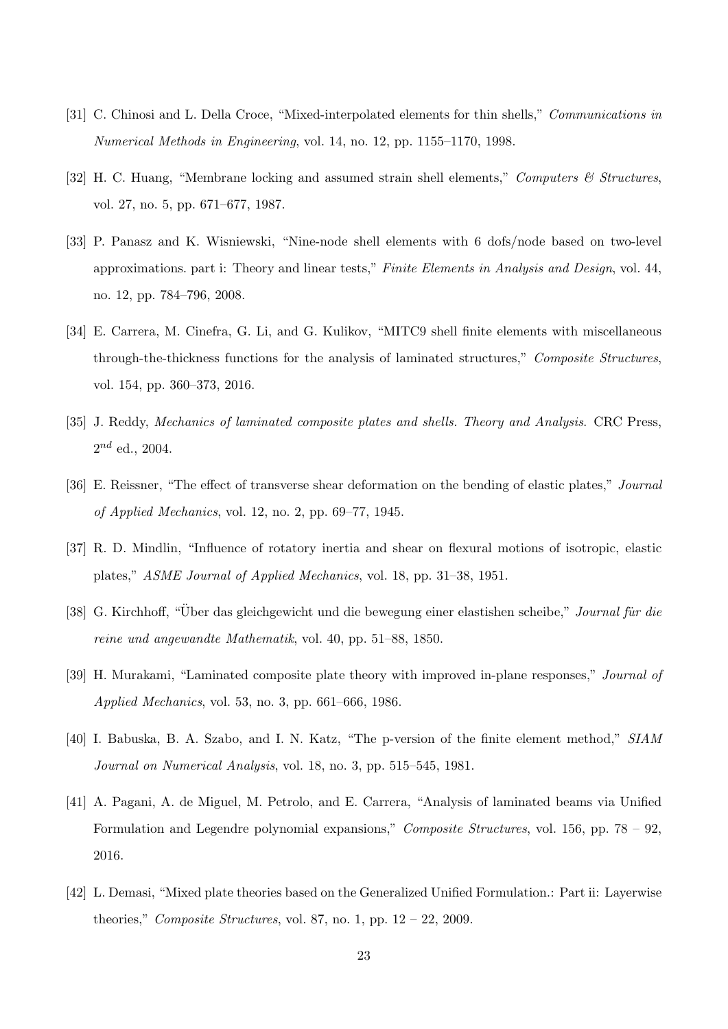- [31] C. Chinosi and L. Della Croce, "Mixed-interpolated elements for thin shells," *Communications in* Numerical Methods in Engineering, vol. 14, no. 12, pp. 1155–1170, 1998.
- [32] H. C. Huang, "Membrane locking and assumed strain shell elements," Computers & Structures, vol. 27, no. 5, pp. 671–677, 1987.
- [33] P. Panasz and K. Wisniewski, "Nine-node shell elements with 6 dofs/node based on two-level approximations. part i: Theory and linear tests," Finite Elements in Analysis and Design, vol. 44, no. 12, pp. 784–796, 2008.
- [34] E. Carrera, M. Cinefra, G. Li, and G. Kulikov, "MITC9 shell finite elements with miscellaneous through-the-thickness functions for the analysis of laminated structures," Composite Structures, vol. 154, pp. 360–373, 2016.
- [35] J. Reddy, Mechanics of laminated composite plates and shells. Theory and Analysis. CRC Press,  $2^{nd}$  ed., 2004.
- [36] E. Reissner, "The effect of transverse shear deformation on the bending of elastic plates," Journal of Applied Mechanics, vol. 12, no. 2, pp. 69–77, 1945.
- [37] R. D. Mindlin, "Influence of rotatory inertia and shear on flexural motions of isotropic, elastic plates," ASME Journal of Applied Mechanics, vol. 18, pp. 31–38, 1951.
- [38] G. Kirchhoff, "Über das gleichgewicht und die bewegung einer elastishen scheibe," Journal für die reine und angewandte Mathematik, vol. 40, pp. 51–88, 1850.
- [39] H. Murakami, "Laminated composite plate theory with improved in-plane responses," Journal of Applied Mechanics, vol. 53, no. 3, pp. 661–666, 1986.
- [40] I. Babuska, B. A. Szabo, and I. N. Katz, "The p-version of the finite element method," SIAM Journal on Numerical Analysis, vol. 18, no. 3, pp. 515–545, 1981.
- [41] A. Pagani, A. de Miguel, M. Petrolo, and E. Carrera, "Analysis of laminated beams via Unified Formulation and Legendre polynomial expansions," Composite Structures, vol. 156, pp. 78 – 92, 2016.
- [42] L. Demasi, "Mixed plate theories based on the Generalized Unified Formulation.: Part ii: Layerwise theories," Composite Structures, vol. 87, no. 1, pp.  $12 - 22$ , 2009.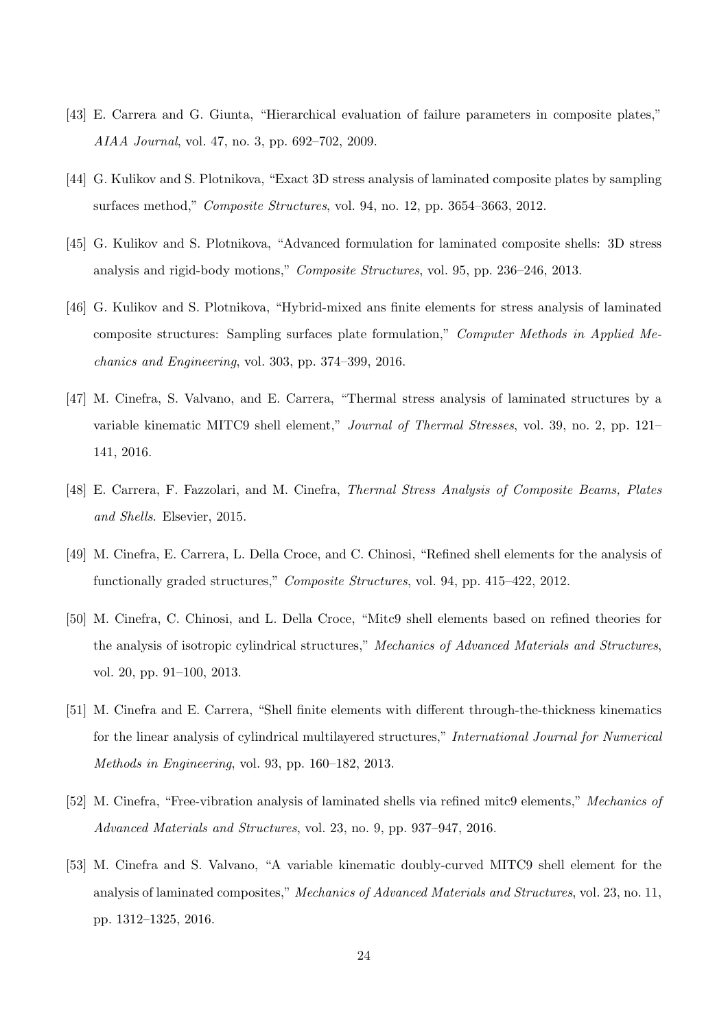- [43] E. Carrera and G. Giunta, "Hierarchical evaluation of failure parameters in composite plates," AIAA Journal, vol. 47, no. 3, pp. 692–702, 2009.
- [44] G. Kulikov and S. Plotnikova, "Exact 3D stress analysis of laminated composite plates by sampling surfaces method," Composite Structures, vol. 94, no. 12, pp. 3654–3663, 2012.
- [45] G. Kulikov and S. Plotnikova, "Advanced formulation for laminated composite shells: 3D stress analysis and rigid-body motions," Composite Structures, vol. 95, pp. 236–246, 2013.
- [46] G. Kulikov and S. Plotnikova, "Hybrid-mixed ans finite elements for stress analysis of laminated composite structures: Sampling surfaces plate formulation," Computer Methods in Applied Mechanics and Engineering, vol. 303, pp. 374–399, 2016.
- [47] M. Cinefra, S. Valvano, and E. Carrera, "Thermal stress analysis of laminated structures by a variable kinematic MITC9 shell element," Journal of Thermal Stresses, vol. 39, no. 2, pp. 121– 141, 2016.
- [48] E. Carrera, F. Fazzolari, and M. Cinefra, Thermal Stress Analysis of Composite Beams, Plates and Shells. Elsevier, 2015.
- [49] M. Cinefra, E. Carrera, L. Della Croce, and C. Chinosi, "Refined shell elements for the analysis of functionally graded structures," Composite Structures, vol. 94, pp. 415–422, 2012.
- [50] M. Cinefra, C. Chinosi, and L. Della Croce, "Mitc9 shell elements based on refined theories for the analysis of isotropic cylindrical structures," Mechanics of Advanced Materials and Structures, vol. 20, pp. 91–100, 2013.
- [51] M. Cinefra and E. Carrera, "Shell finite elements with different through-the-thickness kinematics for the linear analysis of cylindrical multilayered structures," International Journal for Numerical Methods in Engineering, vol. 93, pp. 160–182, 2013.
- [52] M. Cinefra, "Free-vibration analysis of laminated shells via refined mitc9 elements," Mechanics of Advanced Materials and Structures, vol. 23, no. 9, pp. 937–947, 2016.
- [53] M. Cinefra and S. Valvano, "A variable kinematic doubly-curved MITC9 shell element for the analysis of laminated composites," Mechanics of Advanced Materials and Structures, vol. 23, no. 11, pp. 1312–1325, 2016.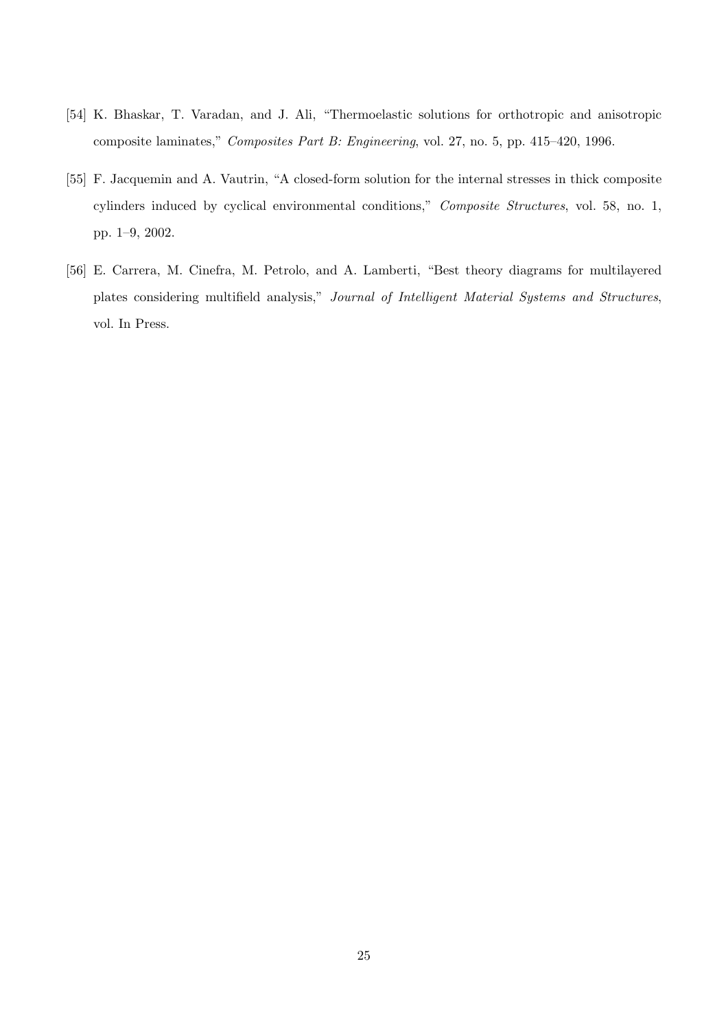- [54] K. Bhaskar, T. Varadan, and J. Ali, "Thermoelastic solutions for orthotropic and anisotropic composite laminates," Composites Part B: Engineering, vol. 27, no. 5, pp. 415–420, 1996.
- [55] F. Jacquemin and A. Vautrin, "A closed-form solution for the internal stresses in thick composite cylinders induced by cyclical environmental conditions," Composite Structures, vol. 58, no. 1, pp. 1–9, 2002.
- [56] E. Carrera, M. Cinefra, M. Petrolo, and A. Lamberti, "Best theory diagrams for multilayered plates considering multifield analysis," Journal of Intelligent Material Systems and Structures, vol. In Press.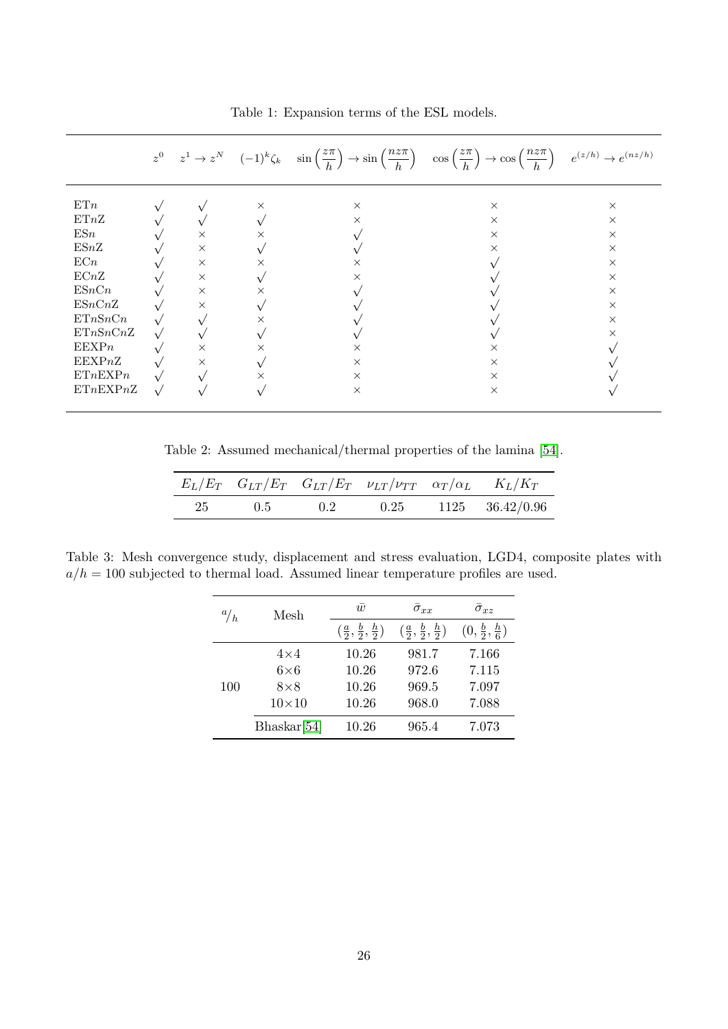|                                                    |                                                           |                                  | $z^0$ $z^1 \to z^N$ $(-1)^k \zeta_k$ $\sin\left(\frac{z\pi}{h}\right) \to \sin\left(\frac{nz\pi}{h}\right)$ | $\cos\left(\frac{z\pi}{h}\right) \rightarrow \cos\left(\frac{nz\pi}{h}\right)$ | $e^{(z/h)} \rightarrow e^{(nz/h)}$                       |
|----------------------------------------------------|-----------------------------------------------------------|----------------------------------|-------------------------------------------------------------------------------------------------------------|--------------------------------------------------------------------------------|----------------------------------------------------------|
| ETn<br>ETnZ<br>ESn<br>ESnZ                         | $\times$<br>$\times$                                      | $\times$<br>$\times$             | $\times$<br>$\times$                                                                                        | $\times$<br>$\times$<br>$\times$<br>$\times$                                   | $\times$<br>$\times$<br>$\times$<br>$\times$             |
| ECn<br>ECnZ<br>ESnCn<br>ESnCnZ<br>ETnSnCn          | $\times$<br>$\times$<br>$\times$<br>$\times$<br>$\sqrt{}$ | $\times$<br>$\times$<br>$\times$ | $\times$<br>$\times$                                                                                        |                                                                                | $\times$<br>$\times$<br>$\times$<br>$\times$<br>$\times$ |
| ETnSnCnZ<br>EEXPn<br>EEXPnZ<br>ETnEXPn<br>ETnEXPnZ | $\times$<br>$\times$                                      | $\times$<br>$\times$             | $\times$<br>$\times$<br>$\times$<br>$\times$                                                                | $\times$<br>$\times$<br>$\times$<br>$\times$                                   | $\times$                                                 |

Table 1: Expansion terms of the ESL models.

Table 2: Assumed mechanical/thermal properties of the lamina [54].

|    |     |         | $E_L/E_T$ $G_{LT}/E_T$ $G_{LT}/E_T$ $\nu_{LT}/\nu_{TT}$ $\alpha_T/\alpha_L$ $K_L/K_T$ |                 |
|----|-----|---------|---------------------------------------------------------------------------------------|-----------------|
| 25 | 0.5 | $0.2 -$ | 0.25                                                                                  | 1125 36.42/0.96 |

Table 3: Mesh convergence study, displacement and stress evaluation, LGD4, composite plates with  $a/h = 100$  subjected to thermal load. Assumed linear temperature profiles are used.

| a/h | Mesh         | $\bar{w}$                                          | $\bar{\sigma}_{xx}$                                | $\bar{\sigma}_{xz}$             |
|-----|--------------|----------------------------------------------------|----------------------------------------------------|---------------------------------|
|     |              | $\left(\frac{a}{2},\frac{b}{2},\frac{h}{2}\right)$ | $\left(\frac{a}{2},\frac{b}{2},\frac{h}{2}\right)$ | $(0, \frac{b}{2}, \frac{h}{6})$ |
|     | $4\times4$   | 10.26                                              | 981.7                                              | 7.166                           |
|     | $6\times 6$  | 10.26                                              | 972.6                                              | 7.115                           |
| 100 | $8\times8$   | 10.26                                              | 969.5                                              | 7.097                           |
|     | $10\times10$ | 10.26                                              | 968.0                                              | 7.088                           |
|     | Bhaskar[54]  | 10.26                                              | 965.4                                              | 7.073                           |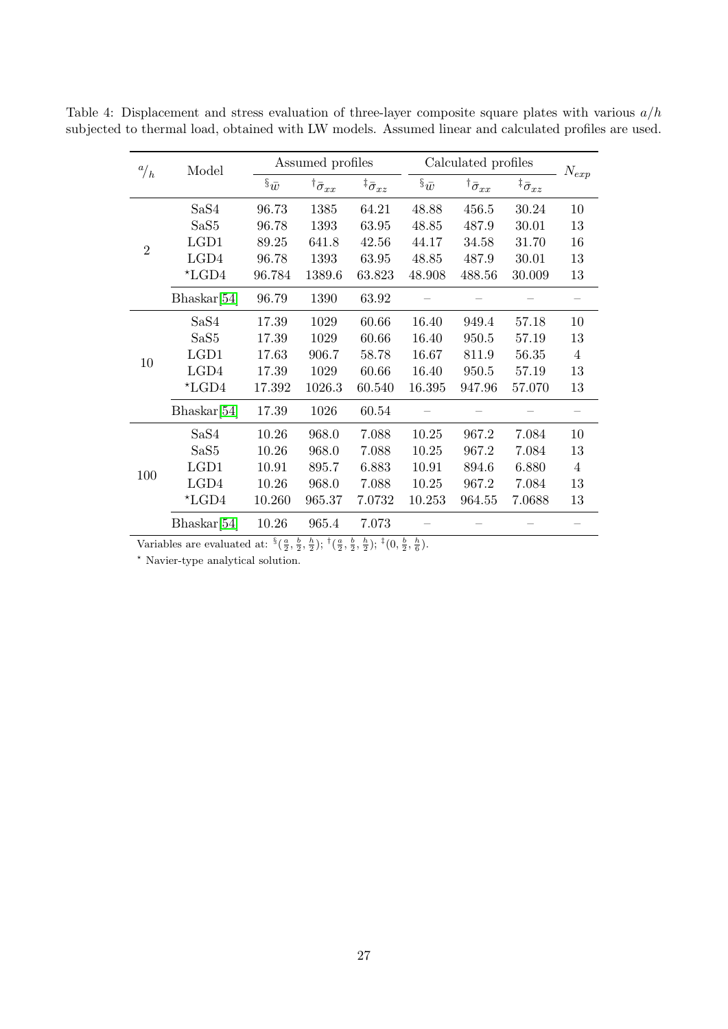| a/h            | Model            |                         | Assumed profiles               |                                  |                         | Calculated profiles            |                                  |                |
|----------------|------------------|-------------------------|--------------------------------|----------------------------------|-------------------------|--------------------------------|----------------------------------|----------------|
|                |                  | $\mathcal{S}_{\bar{w}}$ | ${}^\dagger \bar{\sigma}_{xx}$ | ${}^{\ddagger}\bar{\sigma}_{xz}$ | $\mathcal{S}_{\bar{w}}$ | ${}^\dagger \bar{\sigma}_{xx}$ | ${}^{\ddagger}\bar{\sigma}_{xz}$ | $N_{exp}$      |
|                | SaS4             | 96.73                   | 1385                           | 64.21                            | 48.88                   | 456.5                          | 30.24                            | 10             |
|                | SaS <sub>5</sub> | 96.78                   | 1393                           | 63.95                            | 48.85                   | 487.9                          | 30.01                            | 13             |
| $\overline{2}$ | LGD1             | 89.25                   | 641.8                          | 42.56                            | 44.17                   | 34.58                          | 31.70                            | 16             |
|                | LGD4             | 96.78                   | 1393                           | 63.95                            | 48.85                   | 487.9                          | 30.01                            | 13             |
|                | $*LGD4$          | 96.784                  | 1389.6                         | 63.823                           | 48.908                  | 488.56                         | 30.009                           | 13             |
|                | Bhaskar[54]      | 96.79                   | 1390                           | 63.92                            |                         |                                |                                  |                |
|                | SaS4             | 17.39                   | 1029                           | 60.66                            | 16.40                   | 949.4                          | 57.18                            | 10             |
|                | SaS <sub>5</sub> | 17.39                   | 1029                           | 60.66                            | 16.40                   | 950.5                          | 57.19                            | 13             |
| 10             | LGD1             | 17.63                   | 906.7                          | 58.78                            | 16.67                   | 811.9                          | 56.35                            | $\overline{4}$ |
|                | LGD4             | 17.39                   | 1029                           | 60.66                            | 16.40                   | 950.5                          | 57.19                            | 13             |
|                | $*LGD4$          | 17.392                  | 1026.3                         | 60.540                           | 16.395                  | 947.96                         | 57.070                           | 13             |
|                | Bhaskar[54]      | 17.39                   | 1026                           | 60.54                            |                         |                                |                                  |                |
|                | SaS4             | 10.26                   | 968.0                          | 7.088                            | 10.25                   | 967.2                          | 7.084                            | 10             |
|                | SaS <sub>5</sub> | 10.26                   | 968.0                          | 7.088                            | 10.25                   | 967.2                          | 7.084                            | 13             |
|                | LGD1             | 10.91                   | 895.7                          | 6.883                            | 10.91                   | 894.6                          | 6.880                            | $\overline{4}$ |
| 100            | LGD4             | 10.26                   | 968.0                          | 7.088                            | 10.25                   | 967.2                          | 7.084                            | 13             |
|                | $*LGD4$          | 10.260                  | 965.37                         | 7.0732                           | 10.253                  | 964.55                         | 7.0688                           | 13             |
|                | Bhaskar[54]      | 10.26                   | 965.4                          | 7.073                            |                         |                                |                                  |                |

Table 4: Displacement and stress evaluation of three-layer composite square plates with various  $a/h$ subjected to thermal load, obtained with LW models. Assumed linear and calculated profiles are used.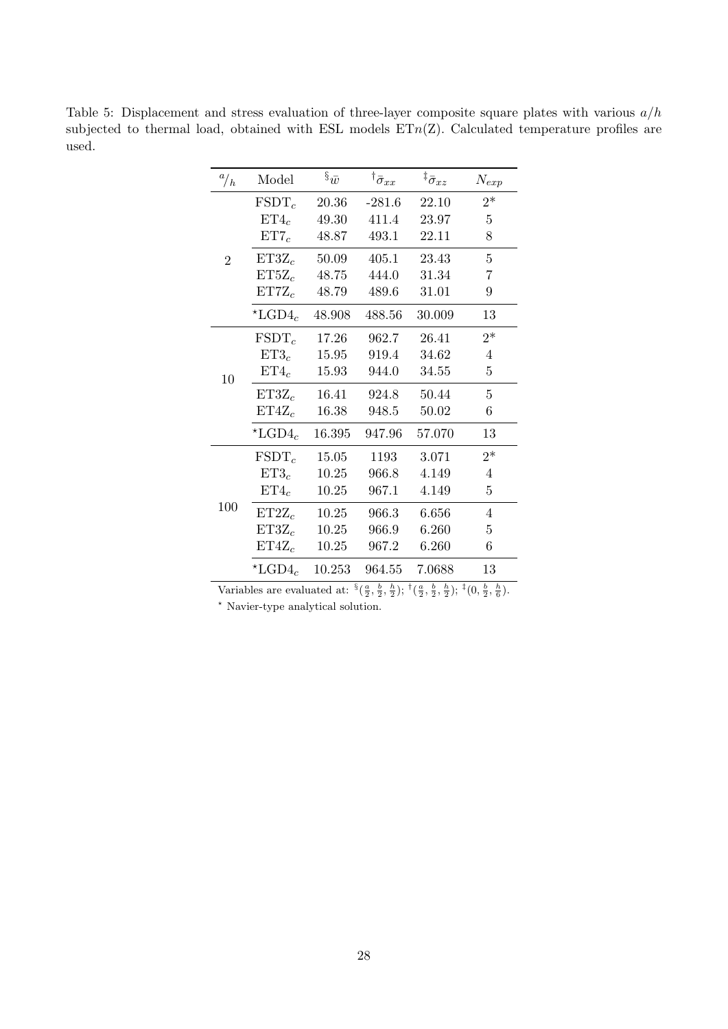Table 5: Displacement and stress evaluation of three-layer composite square plates with various  $a/h$ subjected to thermal load, obtained with ESL models  $ETn(Z)$ . Calculated temperature profiles are used.

| $a/h$          | Model                     | $\S_{\bar{w}}$ | $\dagger_{\bar{\sigma}_{xx}}$ | ${}^{\ddagger}\bar{\sigma}_{xz}$ | $N_{exp}$      |
|----------------|---------------------------|----------------|-------------------------------|----------------------------------|----------------|
|                | $FSDT_c$                  | 20.36          | $-281.6$                      | 22.10                            | $2*$           |
|                | $ET4_c$                   | 49.30          | 411.4                         | 23.97                            | 5              |
|                | $ET7_c$                   | 48.87          | 493.1                         | 22.11                            | 8              |
| $\overline{2}$ | $ET3Z_c$                  | 50.09          | 405.1                         | 23.43                            | 5              |
|                | $ET5Z_c$                  | 48.75          | 444.0                         | 31.34                            | 7              |
|                | $ET7Z_c$                  | 48.79          | 489.6                         | 31.01                            | 9              |
|                | $\star$ LGD4 <sub>c</sub> | 48.908         | 488.56                        | 30.009                           | 13             |
|                | $FSDT_c$                  | 17.26          | 962.7                         | 26.41                            | $2^*$          |
|                | $ET3_c$                   | 15.95          | 919.4                         | 34.62                            | $\overline{4}$ |
| 10             | $ET4_c$                   | 15.93          | 944.0                         | 34.55                            | $\overline{5}$ |
|                | $ET3Z_c$                  | 16.41          | 924.8                         | 50.44                            | 5              |
|                | $ET4Z_c$                  | 16.38          | 948.5                         | 50.02                            | 6              |
|                | $\star$ LGD4 <sub>c</sub> | 16.395         | 947.96                        | 57.070                           | 13             |
|                | $FSDT_c$                  | 15.05          | 1193                          | 3.071                            | $2^*$          |
|                | ET3 <sub>c</sub>          | 10.25          | 966.8                         | 4.149                            | $\overline{4}$ |
|                | ET4 <sub>c</sub>          | 10.25          | 967.1                         | 4.149                            | 5              |
| 100            | $ET2Z_c$                  | 10.25          | 966.3                         | 6.656                            | $\overline{4}$ |
|                | $ET3Z_c$                  | 10.25          | 966.9                         | 6.260                            | 5              |
|                | $ET4Z_c$                  | 10.25          | 967.2                         | 6.260                            | $\!6\,$        |
|                | $\star$ LGD4 <sub>c</sub> | 10.253         | 964.55                        | 7.0688                           | 13             |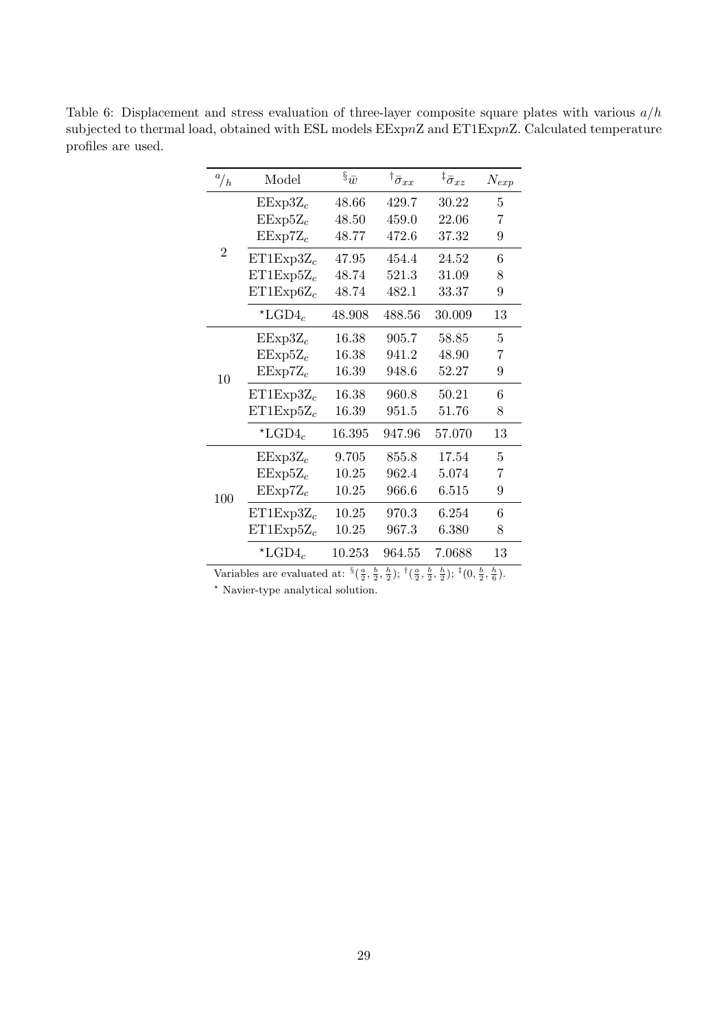Table 6: Displacement and stress evaluation of three-layer composite square plates with various  $a/h$ subjected to thermal load, obtained with ESL models EExpnZ and ET1ExpnZ. Calculated temperature profiles are used.

| $a/_{h}$       | Model                     | $\sqrt[5]{w}$ | $\dagger \bar{\sigma}_{xx}$ | ${}^{\ddagger}\bar{\sigma}_{xz}$ | $N_{exp}$ |
|----------------|---------------------------|---------------|-----------------------------|----------------------------------|-----------|
|                | $EExp3Z_c$                | 48.66         | 429.7                       | 30.22                            | 5         |
|                | $EExp5Z_c$                | 48.50         | 459.0                       | 22.06                            | 7         |
|                | $EExp7Z_c$                | 48.77         | 472.6                       | 37.32                            | 9         |
| $\overline{2}$ | $ET1Exp3Z_c$              | 47.95         | 454.4                       | 24.52                            | 6         |
|                | $ET1Exp5Z_c$              | 48.74         | 521.3                       | 31.09                            | 8         |
|                | $ET1Exp6Z_c$              | 48.74         | 482.1                       | 33.37                            | 9         |
|                | $\star$ LGD4 <sub>c</sub> | 48.908        | 488.56                      | 30.009                           | 13        |
|                | $EExp3Z_c$                | 16.38         | 905.7                       | 58.85                            | 5         |
|                | $EExp5Z_c$                | 16.38         | 941.2                       | 48.90                            | 7         |
| 10             | $EExp7Z_c$                | 16.39         | 948.6                       | 52.27                            | 9         |
|                | $ET1Exp3Z_c$              | 16.38         | 960.8                       | 50.21                            | 6         |
|                | $ET1Exp5Z_c$              | 16.39         | 951.5                       | 51.76                            | 8         |
|                | $\star$ LGD4 <sub>c</sub> | 16.395        | 947.96                      | 57.070                           | 13        |
|                | $EExp3Z_c$                | 9.705         | 855.8                       | 17.54                            | 5         |
|                | $EExp5Z_c$                | 10.25         | 962.4                       | 5.074                            | 7         |
| 100            | $EExp7Z_c$                | 10.25         | 966.6                       | 6.515                            | 9         |
|                | $ET1Exp3Z_c$              | 10.25         | 970.3                       | 6.254                            | 6         |
|                | $ET1Exp5Z_c$              | 10.25         | 967.3                       | 6.380                            | 8         |
|                | $\star$ LGD4 <sub>c</sub> | 10.253        | 964.55                      | 7.0688                           | 13        |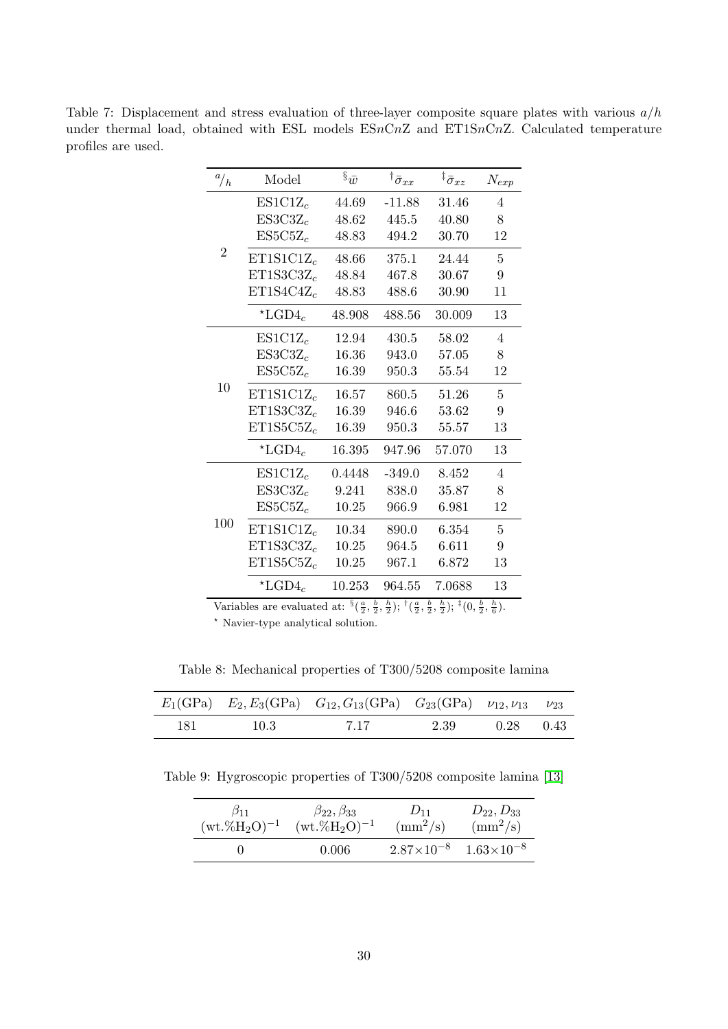Table 7: Displacement and stress evaluation of three-layer composite square plates with various  $a/h$ under thermal load, obtained with ESL models ESnCnZ and ET1SnCnZ. Calculated temperature profiles are used.

| $^a\!/_h$      | Model                     | $\sqrt[3]{w}$ | $\dagger \bar{\sigma}_{xx}$ | ${}^{\ddagger}\bar{\sigma}_{xz}$ | $N_{exp}$      |
|----------------|---------------------------|---------------|-----------------------------|----------------------------------|----------------|
|                | $ES1C1Z_c$                | 44.69         | -11.88                      | 31.46                            | 4              |
|                | $ES3C3Z_c$                | 48.62         | 445.5                       | 40.80                            | 8              |
|                | $ES5C5Z_c$                | 48.83         | 494.2                       | 30.70                            | 12             |
| $\overline{2}$ | $ET1S1C1Z_c$              | 48.66         | 375.1                       | 24.44                            | 5              |
|                | $ET1S3C3Z_c$              | 48.84         | 467.8                       | 30.67                            | 9              |
|                | $ET1S4C4Z_c$              | 48.83         | 488.6                       | 30.90                            | 11             |
|                | $\star$ LGD4 <sub>c</sub> | 48.908        | 488.56                      | 30.009                           | 13             |
|                | $ES1C1Z_c$                | 12.94         | 430.5                       | 58.02                            | $\overline{4}$ |
|                | $ES3C3Z_c$                | 16.36         | 943.0                       | 57.05                            | 8              |
|                | $ES5C5Z_c$                | 16.39         | 950.3                       | 55.54                            | 12             |
| 10             | $ET1S1C1Z_c$              | 16.57         | 860.5                       | 51.26                            | 5              |
|                | $ET1S3C3Z_c$              | 16.39         | 946.6                       | 53.62                            | 9              |
|                | $ET1S5C5Z_c$              | 16.39         | 950.3                       | 55.57                            | 13             |
|                | $\star$ LGD4 <sub>c</sub> | 16.395        | 947.96                      | 57.070                           | 13             |
|                | $ES1C1Z_c$                | 0.4448        | $-349.0$                    | 8.452                            | $\overline{4}$ |
|                | $ES3C3Z_c$                | 9.241         | 838.0                       | 35.87                            | 8              |
|                | $ES5C5Z_c$                | 10.25         | 966.9                       | 6.981                            | 12             |
| 100            | $ET1S1C1Z_c$              | 10.34         | 890.0                       | 6.354                            | 5              |
|                | $ET1S3C3Z_c$              | 10.25         | 964.5                       | 6.611                            | 9              |
|                | $ET1S5C5Z_c$              | 10.25         | 967.1                       | 6.872                            | 13             |
|                | $\star$ LGD4.             | 10.253        | 964.55                      | 7.0688                           | 13             |

Table 8: Mechanical properties of T300/5208 composite lamina

|       |       | $E_1(\text{GPa})$ $E_2, E_3(\text{GPa})$ $G_{12}, G_{13}(\text{GPa})$ $G_{23}(\text{GPa})$ $\nu_{12}, \nu_{13}$ $\nu_{23}$ |      |             |  |
|-------|-------|----------------------------------------------------------------------------------------------------------------------------|------|-------------|--|
| - 181 | -10.3 | 7.17                                                                                                                       | 2.39 | $0.28$ 0.43 |  |

Table 9: Hygroscopic properties of T300/5208 composite lamina [13]

| $\beta_{11}$       | $\beta_{22}, \beta_{33}$ | $D_{11}$                                | $D_{22}, D_{33}$ |
|--------------------|--------------------------|-----------------------------------------|------------------|
| $(wt.\%H_2O)^{-1}$ | $(wt.\%H_2O)^{-1}$       | $\rm (mm^2/s)$                          | $\rm (mm^2/s)$   |
|                    | 0.006                    | $2.87\times10^{-8}$ $1.63\times10^{-8}$ |                  |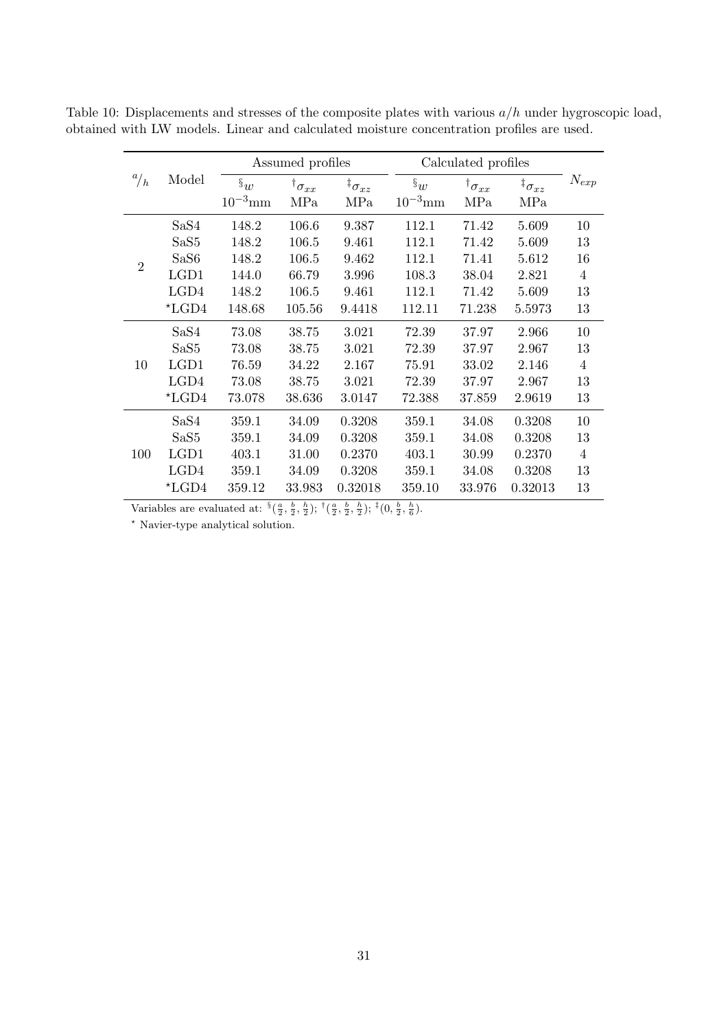|                |                  | Assumed profiles |                          | Calculated profiles       |                 |                         |                           |                |
|----------------|------------------|------------------|--------------------------|---------------------------|-----------------|-------------------------|---------------------------|----------------|
| a/h            | Model            | $\mathcal{S}_w$  | ${}^\dagger \sigma_{xx}$ | ${}^\ddagger \sigma_{xz}$ | $\mathcal{S}_w$ | ${}^\dagger\sigma_{xx}$ | ${}^\ddagger \sigma_{xz}$ | $N_{exp}$      |
|                |                  | $10^{-3}$ mm     | MPa                      | MPa                       | $10^{-3}$ mm    | MPa                     | MPa                       |                |
|                | Sa <sub>S4</sub> | 148.2            | 106.6                    | 9.387                     | 112.1           | 71.42                   | 5.609                     | 10             |
|                | SaS <sub>5</sub> | 148.2            | 106.5                    | 9.461                     | 112.1           | 71.42                   | 5.609                     | 13             |
| $\overline{2}$ | Sa <sub>S6</sub> | 148.2            | 106.5                    | 9.462                     | 112.1           | 71.41                   | 5.612                     | 16             |
|                | $_{\rm LGD1}$    | 144.0            | 66.79                    | 3.996                     | 108.3           | 38.04                   | 2.821                     | $\overline{4}$ |
|                | LGD4             | 148.2            | 106.5                    | 9.461                     | 112.1           | 71.42                   | 5.609                     | 13             |
|                | $*_{\rm LGD4}$   | 148.68           | 105.56                   | 9.4418                    | 112.11          | 71.238                  | 5.5973                    | 13             |
|                | SaS4             | 73.08            | 38.75                    | 3.021                     | 72.39           | 37.97                   | 2.966                     | 10             |
|                | SaS <sub>5</sub> | 73.08            | 38.75                    | 3.021                     | 72.39           | 37.97                   | 2.967                     | 13             |
| 10             | LGD1             | 76.59            | 34.22                    | 2.167                     | 75.91           | 33.02                   | 2.146                     | $\overline{4}$ |
|                | LGD4             | 73.08            | 38.75                    | 3.021                     | 72.39           | 37.97                   | 2.967                     | 13             |
|                | $*LGD4$          | 73.078           | 38.636                   | 3.0147                    | 72.388          | 37.859                  | 2.9619                    | 13             |
|                | SaS4             | 359.1            | 34.09                    | 0.3208                    | 359.1           | 34.08                   | 0.3208                    | 10             |
|                | SaS5             | 359.1            | 34.09                    | 0.3208                    | 359.1           | 34.08                   | 0.3208                    | 13             |
| 100            | LGD1             | 403.1            | 31.00                    | 0.2370                    | 403.1           | 30.99                   | 0.2370                    | 4              |
|                | LGD4             | 359.1            | 34.09                    | 0.3208                    | 359.1           | 34.08                   | 0.3208                    | 13             |
|                | $^{\star}$ LGD4  | 359.12           | 33.983                   | 0.32018                   | 359.10          | 33.976                  | 0.32013                   | 13             |

Table 10: Displacements and stresses of the composite plates with various  $a/h$  under hygroscopic load, obtained with LW models. Linear and calculated moisture concentration profiles are used.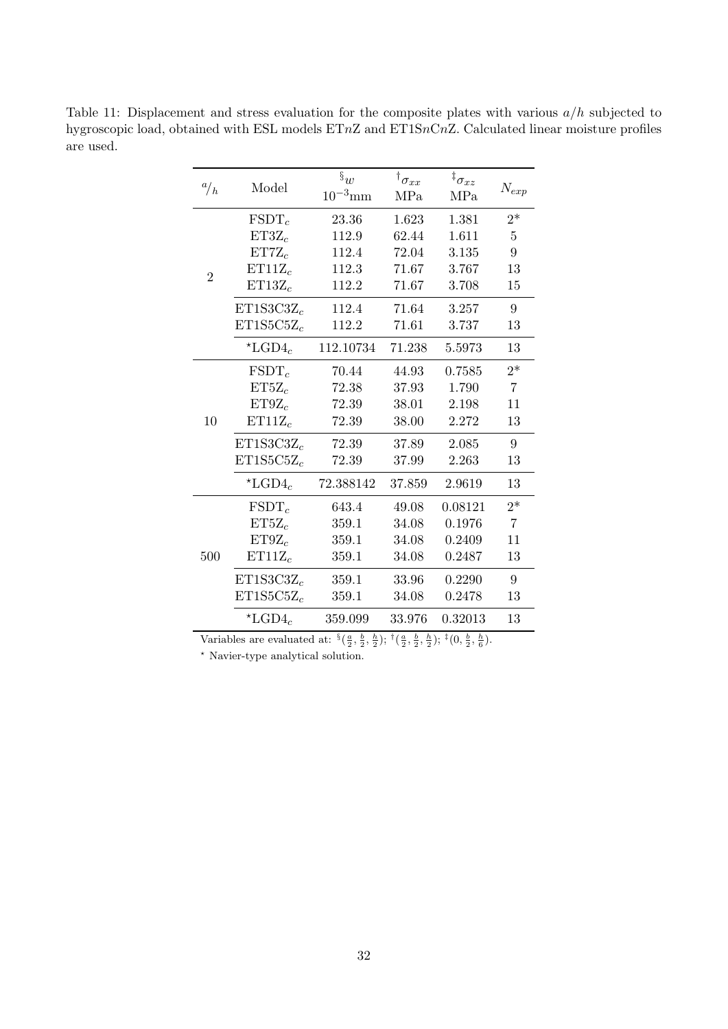| Table 11: Displacement and stress evaluation for the composite plates with various $a/h$ subjected to  |  |
|--------------------------------------------------------------------------------------------------------|--|
| hygroscopic load, obtained with ESL models $ETnZ$ and $ET1SnCnZ$ . Calculated linear moisture profiles |  |
| are used.                                                                                              |  |

| a/h            | Model                     | $\S_w$<br>$10^{-3}$ mm | $\dagger \sigma_{xx}$<br>MPa | ${}^\ddagger \sigma_{xz}$<br>MPa | $N_{exp}$      |
|----------------|---------------------------|------------------------|------------------------------|----------------------------------|----------------|
|                | $FSDT_c$                  | 23.36                  | 1.623                        | 1.381                            | $2*$           |
|                | $ET3Z_c$                  | 112.9                  | 62.44                        | 1.611                            | $\overline{5}$ |
|                | $ET7Z_c$                  | 112.4                  | 72.04                        | 3.135                            | 9              |
| $\overline{2}$ | $ET11Z_c$                 | 112.3                  | 71.67                        | 3.767                            | 13             |
|                | $ET13Z_c$                 | 112.2                  | 71.67                        | 3.708                            | 15             |
|                | $ET1S3C3Z_c$              | 112.4                  | 71.64                        | 3.257                            | 9              |
|                | $ET1S5C5Z_c$              | 112.2                  | 71.61                        | 3.737                            | 13             |
|                | $\star$ LGD4 <sub>c</sub> | 112.10734              | 71.238                       | 5.5973                           | 13             |
|                | $FSDT_c$                  | 70.44                  | 44.93                        | 0.7585                           | $2*$           |
|                | $ET5Z_c$                  | 72.38                  | 37.93                        | 1.790                            | $\overline{7}$ |
|                | $ET9Z_c$                  | 72.39                  | 38.01                        | 2.198                            | 11             |
| 10             | $ET11Z_c$                 | 72.39                  | 38.00                        | 2.272                            | 13             |
|                | $ET1S3C3Z_c$              | 72.39                  | 37.89                        | 2.085                            | 9              |
|                | $ET1S5C5Z_c$              | 72.39                  | 37.99                        | 2.263                            | 13             |
|                | $\star$ LGD4 <sub>c</sub> | 72.388142              | 37.859                       | 2.9619                           | 13             |
|                | $FSDT_c$                  | 643.4                  | 49.08                        | 0.08121                          | $2^*$          |
|                | $ET5Z_c$                  | 359.1                  | 34.08                        | 0.1976                           | $\overline{7}$ |
|                | $ET9Z_c$                  | 359.1                  | 34.08                        | 0.2409                           | 11             |
| 500            | $ET11Z_c$                 | 359.1                  | 34.08                        | 0.2487                           | 13             |
|                | $ET1S3C3Z_c$              | 359.1                  | 33.96                        | 0.2290                           | 9              |
|                | $ET1S5C5Z_c$              | 359.1                  | 34.08                        | 0.2478                           | 13             |
|                | $\star$ LGD4 <sub>c</sub> | 359.099                | 33.976                       | 0.32013                          | 13             |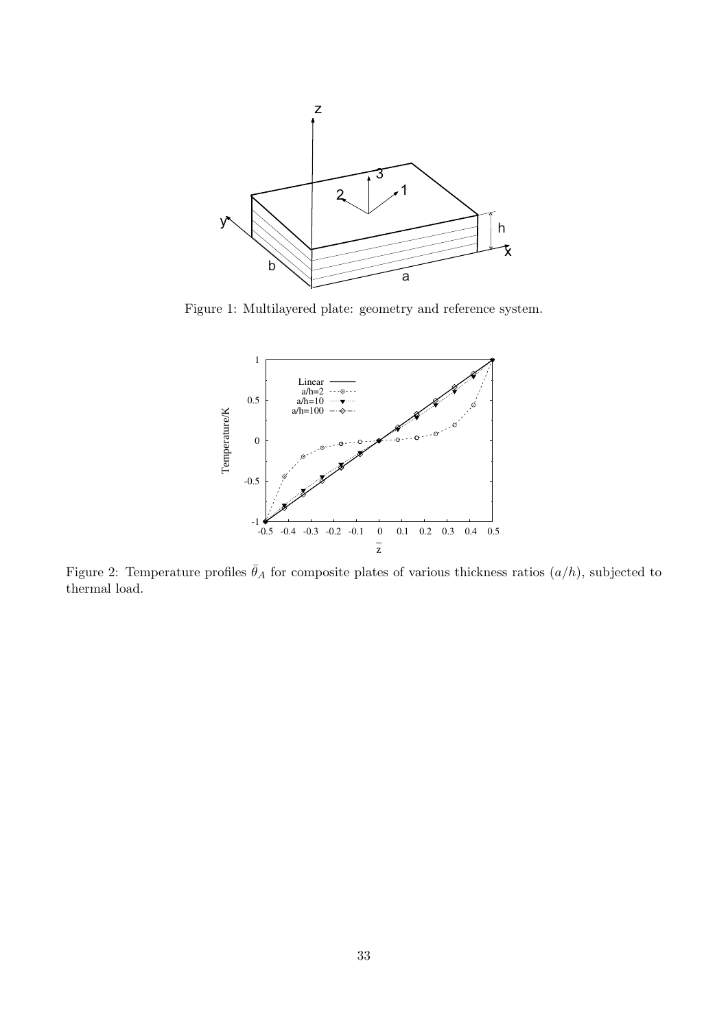

Figure 1: Multilayered plate: geometry and reference system.



Figure 2: Temperature profiles  $\bar{\theta}_A$  for composite plates of various thickness ratios  $(a/h)$ , subjected to thermal load.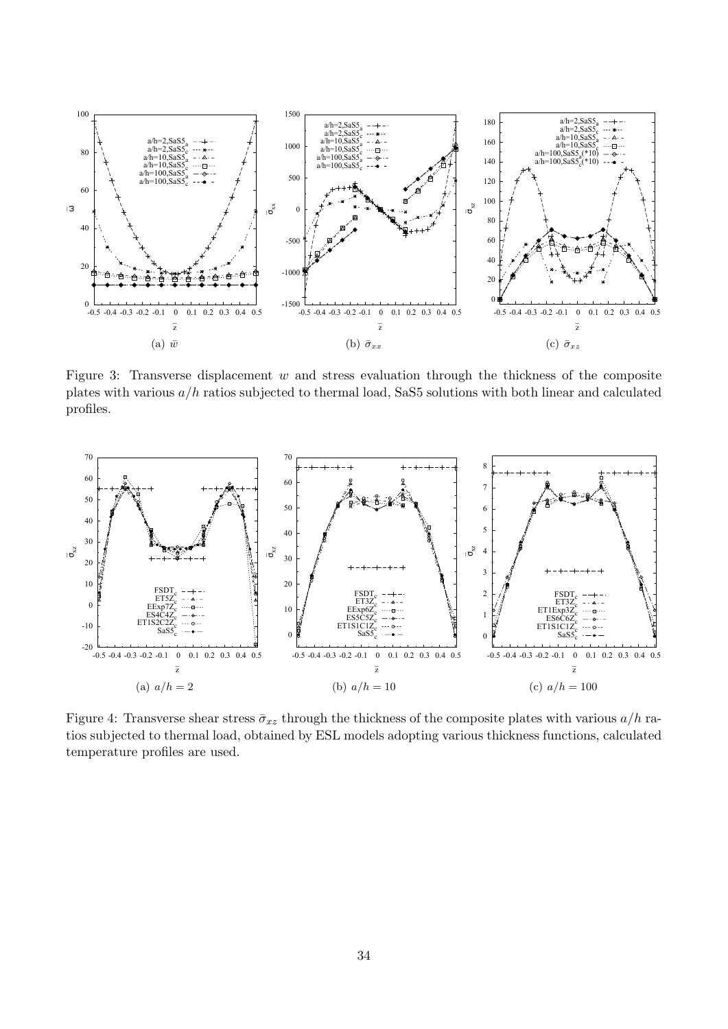

Figure 3: Transverse displacement  $w$  and stress evaluation through the thickness of the composite plates with various  $a/h$  ratios subjected to thermal load, SaS5 solutions with both linear and calculated profiles.



Figure 4: Transverse shear stress  $\bar{\sigma}_{xz}$  through the thickness of the composite plates with various  $a/h$  ratios subjected to thermal load, obtained by ESL models adopting various thickness functions, calculated temperature profiles are used.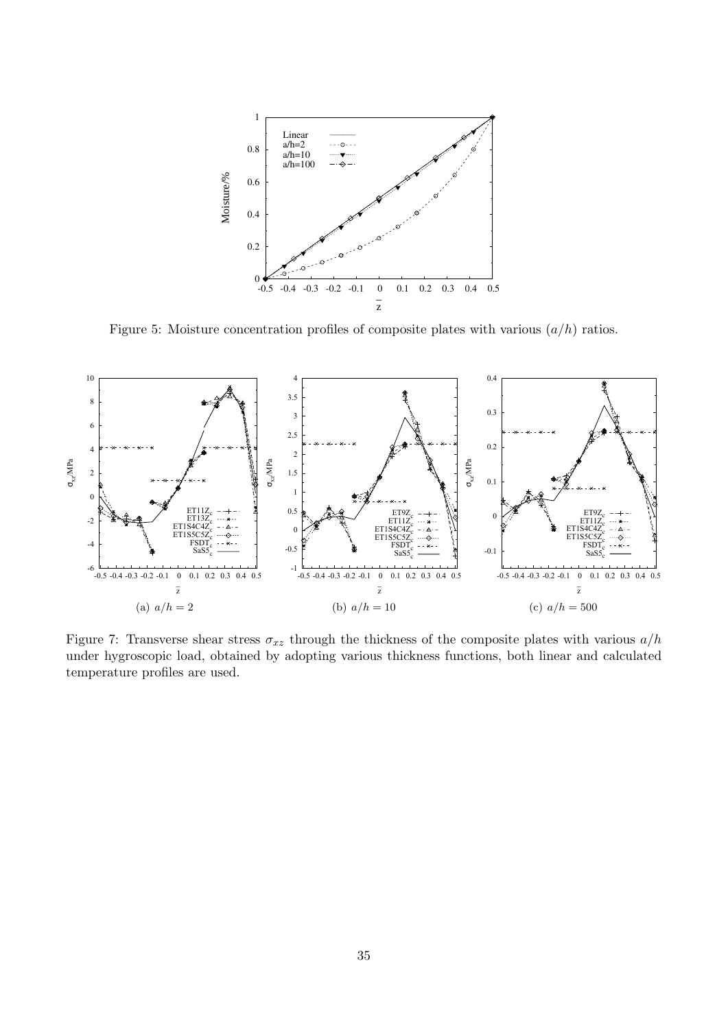

Figure 5: Moisture concentration profiles of composite plates with various  $(a/h)$  ratios.



Figure 7: Transverse shear stress  $\sigma_{xz}$  through the thickness of the composite plates with various  $a/h$ under hygroscopic load, obtained by adopting various thickness functions, both linear and calculated temperature profiles are used.